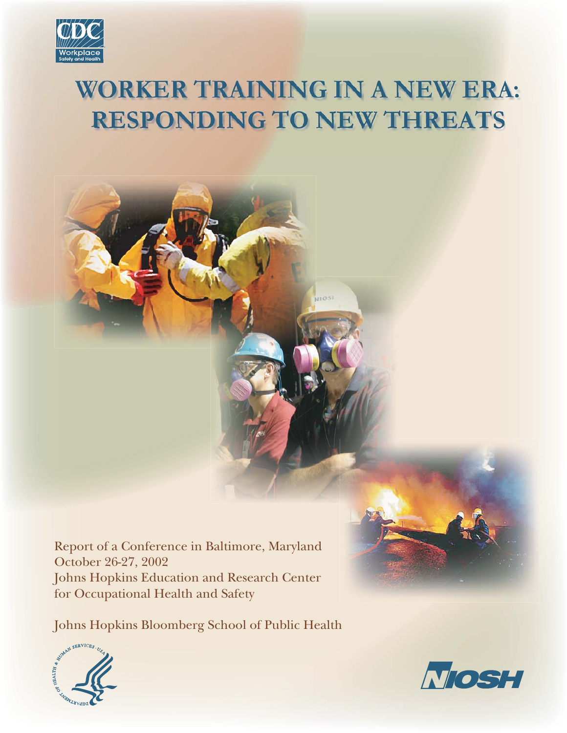

# **WORKER TRAINING IN A NEW ERA: RESPONDING TO NEW THREATS**



Report of a Conference in Baltimore, Maryland October 26-27, 2002 Johns Hopkins Education and Research Center for Occupational Health and Safety

Johns Hopkins Bloomberg School of Public Health





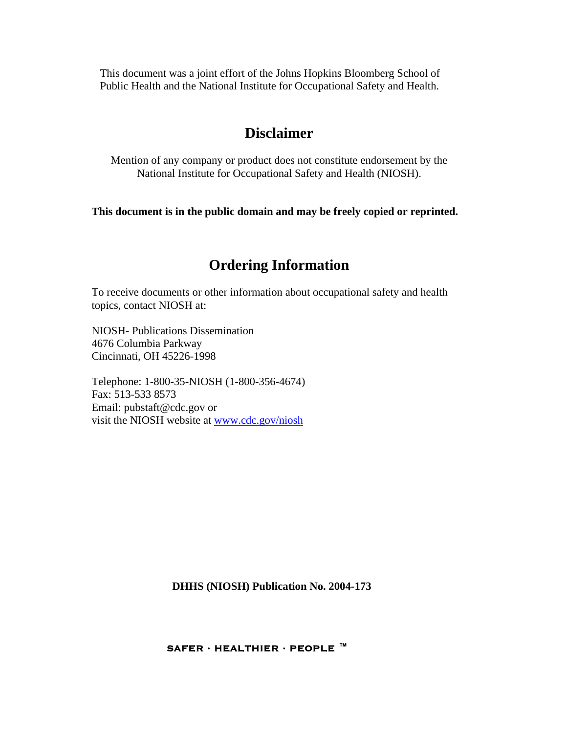This document was a joint effort of the Johns Hopkins Bloomberg School of Public Health and the National Institute for Occupational Safety and Health.

## **Disclaimer**

Mention of any company or product does not constitute endorsement by the National Institute for Occupational Safety and Health (NIOSH).

**This document is in the public domain and may be freely copied or reprinted.** 

## **Ordering Information**

To receive documents or other information about occupational safety and health topics, contact NIOSH at:

NIOSH- Publications Dissemination 4676 Columbia Parkway Cincinnati, OH 45226-1998

Telephone: 1-800-35-NIOSH (1-800-356-4674) Fax: 513-533 8573 Email: pubstaft@cdc.gov or visit the NIOSH website at www.cdc.gov/niosh

 **DHHS (NIOSH) Publication No. 2004-173** 

**SAFER · HEALTHIER · PEOPLE ™**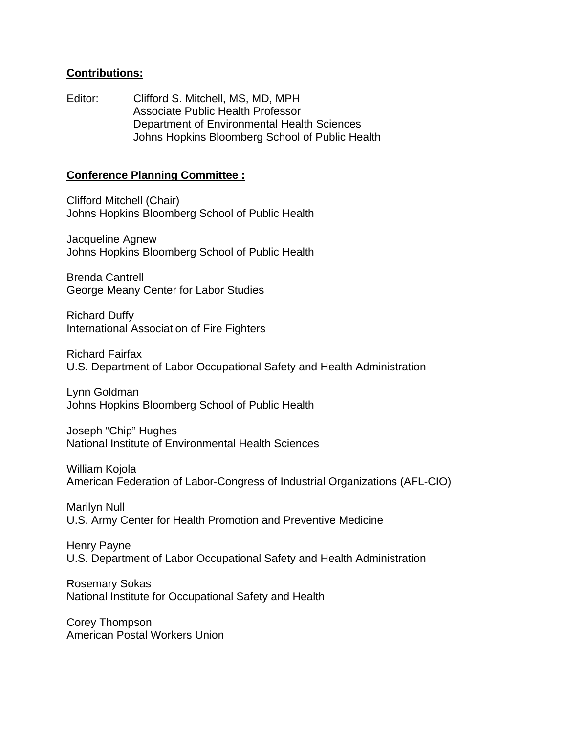### **Contributions:**

Editor: Clifford S. Mitchell, MS, MD, MPH Associate Public Health Professor Department of Environmental Health Sciences Johns Hopkins Bloomberg School of Public Health

### **Conference Planning Committee :**

Clifford Mitchell (Chair) Johns Hopkins Bloomberg School of Public Health

Jacqueline Agnew Johns Hopkins Bloomberg School of Public Health

Brenda Cantrell George Meany Center for Labor Studies

Richard Duffy International Association of Fire Fighters

Richard Fairfax U.S. Department of Labor Occupational Safety and Health Administration

Lynn Goldman Johns Hopkins Bloomberg School of Public Health

Joseph "Chip" Hughes National Institute of Environmental Health Sciences

William Kojola American Federation of Labor-Congress of Industrial Organizations (AFL-CIO)

Marilyn Null U.S. Army Center for Health Promotion and Preventive Medicine

Henry Payne U.S. Department of Labor Occupational Safety and Health Administration

Rosemary Sokas National Institute for Occupational Safety and Health

Corey Thompson American Postal Workers Union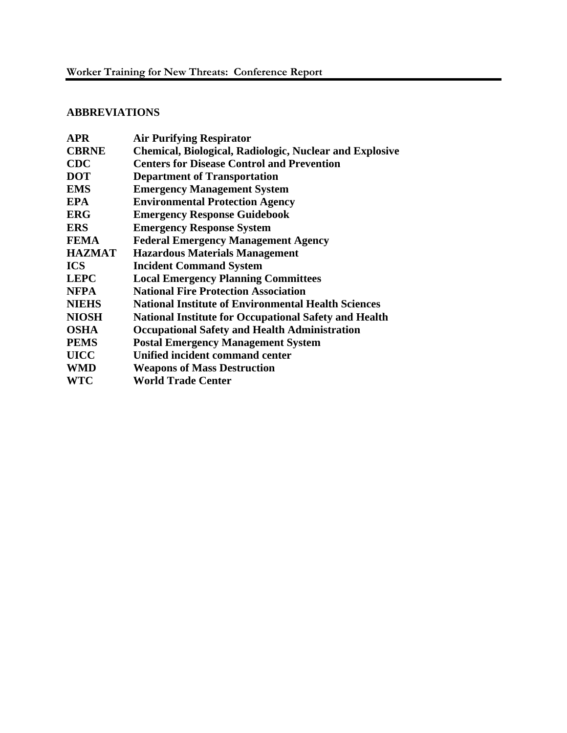### **ABBREVIATIONS**

| <b>Air Purifying Respirator</b>                                |  |  |
|----------------------------------------------------------------|--|--|
| <b>Chemical, Biological, Radiologic, Nuclear and Explosive</b> |  |  |
| <b>Centers for Disease Control and Prevention</b>              |  |  |
| <b>Department of Transportation</b>                            |  |  |
| <b>Emergency Management System</b>                             |  |  |
| <b>Environmental Protection Agency</b>                         |  |  |
| <b>Emergency Response Guidebook</b>                            |  |  |
| <b>Emergency Response System</b>                               |  |  |
| <b>Federal Emergency Management Agency</b>                     |  |  |
| <b>Hazardous Materials Management</b>                          |  |  |
| <b>Incident Command System</b>                                 |  |  |
| <b>Local Emergency Planning Committees</b>                     |  |  |
| <b>National Fire Protection Association</b>                    |  |  |
| <b>National Institute of Environmental Health Sciences</b>     |  |  |
| <b>National Institute for Occupational Safety and Health</b>   |  |  |
| <b>Occupational Safety and Health Administration</b>           |  |  |
| <b>Postal Emergency Management System</b>                      |  |  |
| Unified incident command center                                |  |  |
| <b>Weapons of Mass Destruction</b>                             |  |  |
| <b>World Trade Center</b>                                      |  |  |
|                                                                |  |  |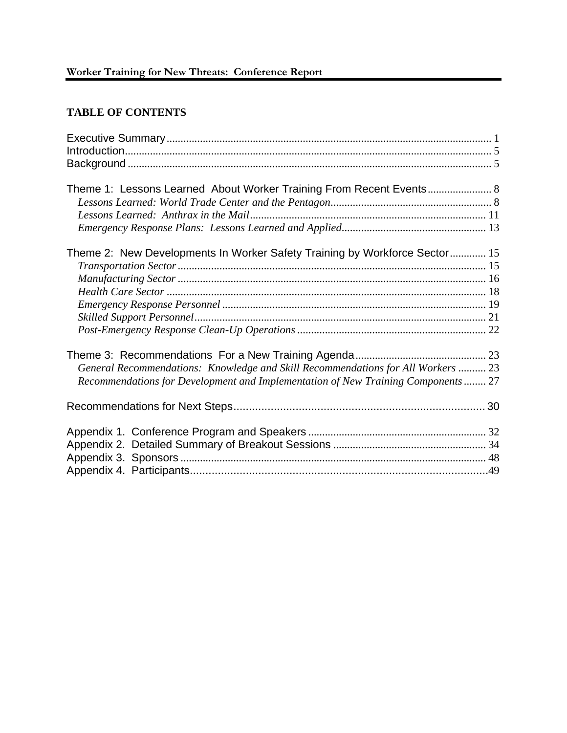### **TABLE OF CONTENTS**

| Theme 1: Lessons Learned About Worker Training From Recent Events 8              |  |
|----------------------------------------------------------------------------------|--|
|                                                                                  |  |
|                                                                                  |  |
|                                                                                  |  |
|                                                                                  |  |
| Theme 2: New Developments In Worker Safety Training by Workforce Sector 15       |  |
|                                                                                  |  |
|                                                                                  |  |
|                                                                                  |  |
|                                                                                  |  |
|                                                                                  |  |
|                                                                                  |  |
|                                                                                  |  |
|                                                                                  |  |
| General Recommendations: Knowledge and Skill Recommendations for All Workers  23 |  |
| Recommendations for Development and Implementation of New Training Components 27 |  |
|                                                                                  |  |
|                                                                                  |  |
|                                                                                  |  |
|                                                                                  |  |
|                                                                                  |  |
|                                                                                  |  |
|                                                                                  |  |
|                                                                                  |  |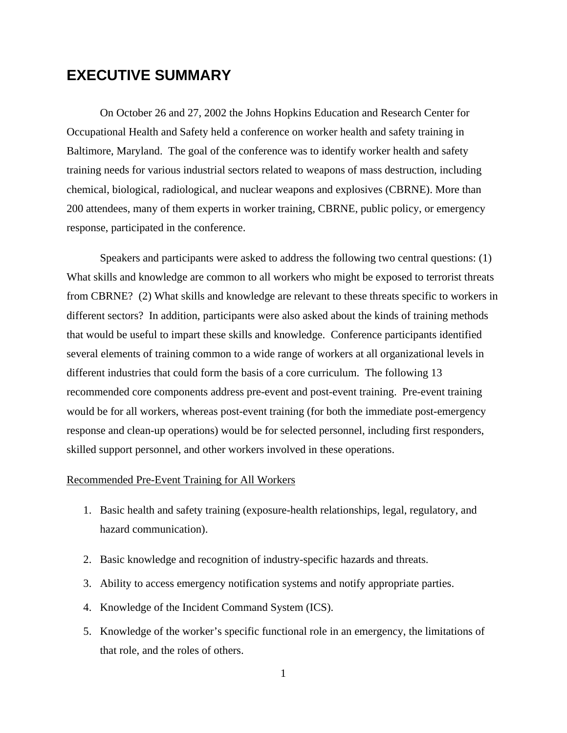## **EXECUTIVE SUMMARY**

On October 26 and 27, 2002 the Johns Hopkins Education and Research Center for Occupational Health and Safety held a conference on worker health and safety training in Baltimore, Maryland. The goal of the conference was to identify worker health and safety training needs for various industrial sectors related to weapons of mass destruction, including chemical, biological, radiological, and nuclear weapons and explosives (CBRNE). More than 200 attendees, many of them experts in worker training, CBRNE, public policy, or emergency response, participated in the conference.

Speakers and participants were asked to address the following two central questions: (1) What skills and knowledge are common to all workers who might be exposed to terrorist threats from CBRNE? (2) What skills and knowledge are relevant to these threats specific to workers in different sectors? In addition, participants were also asked about the kinds of training methods that would be useful to impart these skills and knowledge. Conference participants identified several elements of training common to a wide range of workers at all organizational levels in different industries that could form the basis of a core curriculum. The following 13 recommended core components address pre-event and post-event training. Pre-event training would be for all workers, whereas post-event training (for both the immediate post-emergency response and clean-up operations) would be for selected personnel, including first responders, skilled support personnel, and other workers involved in these operations.

### Recommended Pre-Event Training for All Workers

- 1. Basic health and safety training (exposure-health relationships, legal, regulatory, and hazard communication).
- 2. Basic knowledge and recognition of industry-specific hazards and threats.
- 3. Ability to access emergency notification systems and notify appropriate parties.
- 4. Knowledge of the Incident Command System (ICS).
- 5. Knowledge of the worker's specific functional role in an emergency, the limitations of that role, and the roles of others.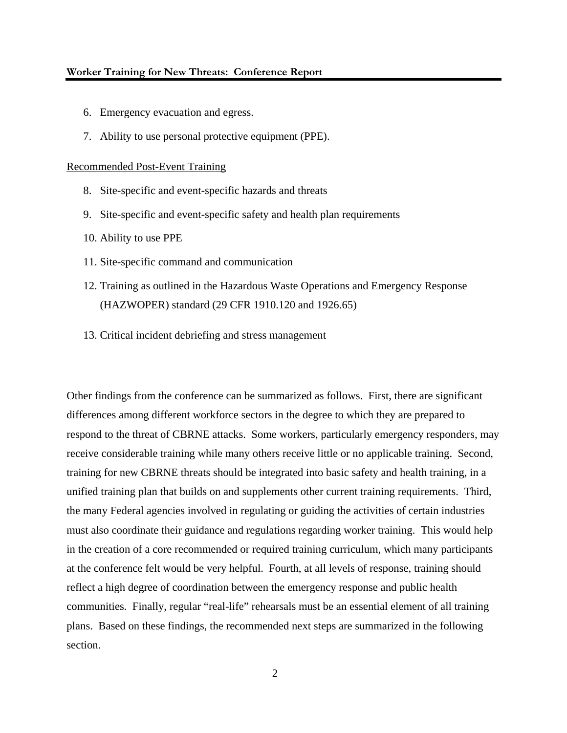### **Worker Training for New Threats: Conference Report**

- 6. Emergency evacuation and egress.
- 7. Ability to use personal protective equipment (PPE).

### Recommended Post-Event Training

- 8. Site-specific and event-specific hazards and threats
- 9. Site-specific and event-specific safety and health plan requirements
- 10. Ability to use PPE
- 11. Site-specific command and communication
- 12. Training as outlined in the Hazardous Waste Operations and Emergency Response (HAZWOPER) standard (29 CFR 1910.120 and 1926.65)
- 13. Critical incident debriefing and stress management

Other findings from the conference can be summarized as follows. First, there are significant differences among different workforce sectors in the degree to which they are prepared to respond to the threat of CBRNE attacks. Some workers, particularly emergency responders, may receive considerable training while many others receive little or no applicable training. Second, training for new CBRNE threats should be integrated into basic safety and health training, in a unified training plan that builds on and supplements other current training requirements. Third, the many Federal agencies involved in regulating or guiding the activities of certain industries must also coordinate their guidance and regulations regarding worker training. This would help in the creation of a core recommended or required training curriculum, which many participants at the conference felt would be very helpful. Fourth, at all levels of response, training should reflect a high degree of coordination between the emergency response and public health communities. Finally, regular "real-life" rehearsals must be an essential element of all training plans. Based on these findings, the recommended next steps are summarized in the following section.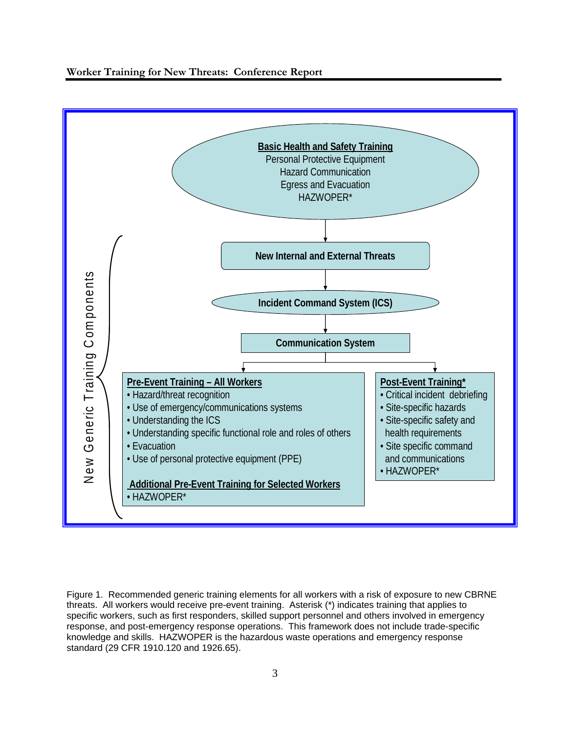**Worker Training for New Threats: Conference Report** 



Figure 1. Recommended generic training elements for all workers with a risk of exposure to new CBRNE threats. All workers would receive pre-event training. Asterisk (\*) indicates training that applies to specific workers, such as first responders, skilled support personnel and others involved in emergency response, and post-emergency response operations. This framework does not include trade-specific knowledge and skills. HAZWOPER is the hazardous waste operations and emergency response standard (29 CFR 1910.120 and 1926.65).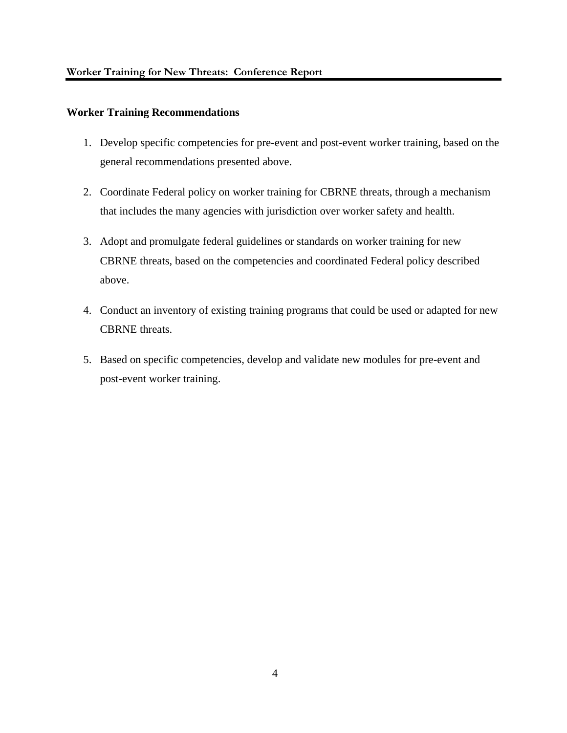### **Worker Training Recommendations**

- 1. Develop specific competencies for pre-event and post-event worker training, based on the general recommendations presented above.
- 2. Coordinate Federal policy on worker training for CBRNE threats, through a mechanism that includes the many agencies with jurisdiction over worker safety and health.
- 3. Adopt and promulgate federal guidelines or standards on worker training for new CBRNE threats, based on the competencies and coordinated Federal policy described above.
- 4. Conduct an inventory of existing training programs that could be used or adapted for new CBRNE threats.
- 5. Based on specific competencies, develop and validate new modules for pre-event and post-event worker training.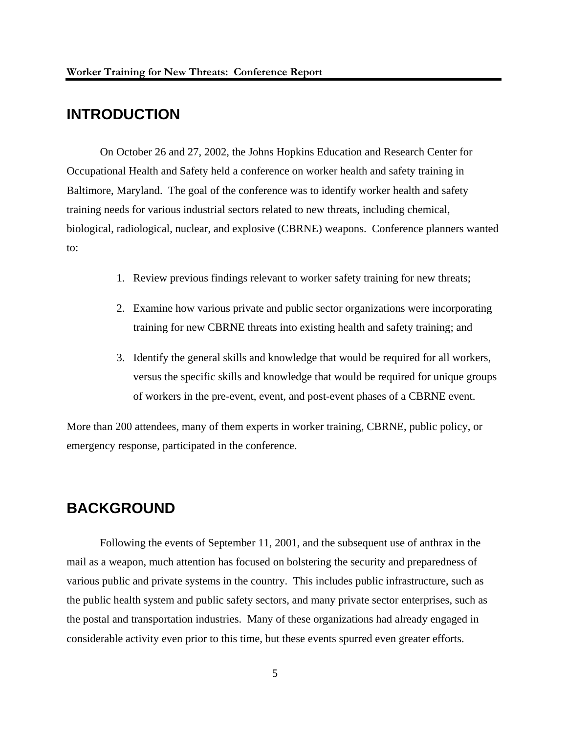## **INTRODUCTION**

On October 26 and 27, 2002, the Johns Hopkins Education and Research Center for Occupational Health and Safety held a conference on worker health and safety training in Baltimore, Maryland. The goal of the conference was to identify worker health and safety training needs for various industrial sectors related to new threats, including chemical, biological, radiological, nuclear, and explosive (CBRNE) weapons. Conference planners wanted to:

- 1. Review previous findings relevant to worker safety training for new threats;
- 2. Examine how various private and public sector organizations were incorporating training for new CBRNE threats into existing health and safety training; and
- 3. Identify the general skills and knowledge that would be required for all workers, versus the specific skills and knowledge that would be required for unique groups of workers in the pre-event, event, and post-event phases of a CBRNE event.

More than 200 attendees, many of them experts in worker training, CBRNE, public policy, or emergency response, participated in the conference.

## **BACKGROUND**

Following the events of September 11, 2001, and the subsequent use of anthrax in the mail as a weapon, much attention has focused on bolstering the security and preparedness of various public and private systems in the country. This includes public infrastructure, such as the public health system and public safety sectors, and many private sector enterprises, such as the postal and transportation industries. Many of these organizations had already engaged in considerable activity even prior to this time, but these events spurred even greater efforts.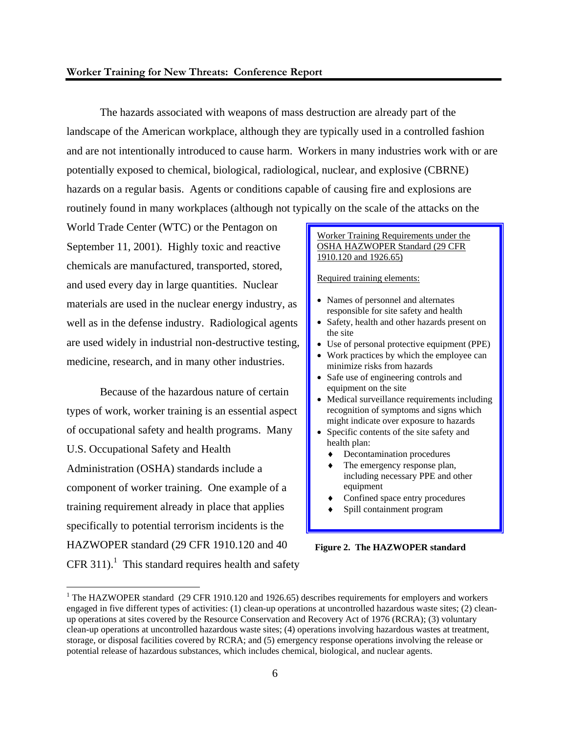The hazards associated with weapons of mass destruction are already part of the landscape of the American workplace, although they are typically used in a controlled fashion and are not intentionally introduced to cause harm. Workers in many industries work with or are potentially exposed to chemical, biological, radiological, nuclear, and explosive (CBRNE) hazards on a regular basis. Agents or conditions capable of causing fire and explosions are routinely found in many workplaces (although not typically on the scale of the attacks on the

World Trade Center (WTC) or the Pentagon on September 11, 2001). Highly toxic and reactive chemicals are manufactured, transported, stored, and used every day in large quantities. Nuclear materials are used in the nuclear energy industry, as well as in the defense industry. Radiological agents are used widely in industrial non-destructive testing, medicine, research, and in many other industries.

Because of the hazardous nature of certain types of work, worker training is an essential aspect of occupational safety and health programs. Many U.S. Occupational Safety and Health Administration (OSHA) standards include a component of worker training. One example of a training requirement already in place that applies specifically to potential terrorism incidents is the HAZWOPER standard (29 CFR 1910.120 and 40  $CFR 311$ ).<sup>1</sup> This standard requires health and safety

1

#### Worker Training Requirements under the OSHA HAZWOPER Standard (29 CFR 1910.120 and 1926.65)

#### Required training elements:

- Names of personnel and alternates responsible for site safety and health
- Safety, health and other hazards present on the site
- Use of personal protective equipment (PPE)
- Work practices by which the employee can minimize risks from hazards
- Safe use of engineering controls and equipment on the site
- Medical surveillance requirements including recognition of symptoms and signs which might indicate over exposure to hazards
- Specific contents of the site safety and health plan:
	- ♦ Decontamination procedures
	- The emergency response plan, including necessary PPE and other equipment
	- Confined space entry procedures
	- Spill containment program

### **Figure 2. The HAZWOPER standard**

<sup>&</sup>lt;sup>1</sup> The HAZWOPER standard (29 CFR 1910.120 and 1926.65) describes requirements for employers and workers engaged in five different types of activities: (1) clean-up operations at uncontrolled hazardous waste sites; (2) cleanup operations at sites covered by the Resource Conservation and Recovery Act of 1976 (RCRA); (3) voluntary clean-up operations at uncontrolled hazardous waste sites; (4) operations involving hazardous wastes at treatment, storage, or disposal facilities covered by RCRA; and (5) emergency response operations involving the release or potential release of hazardous substances, which includes chemical, biological, and nuclear agents.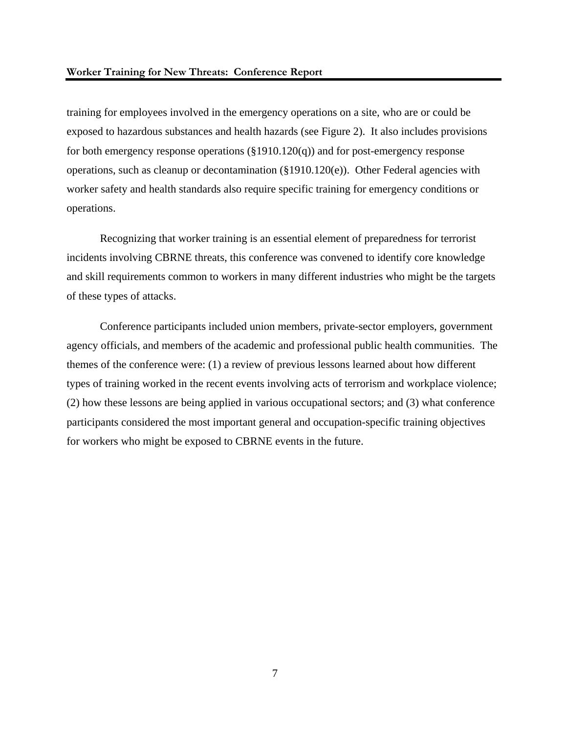training for employees involved in the emergency operations on a site, who are or could be exposed to hazardous substances and health hazards (see Figure 2). It also includes provisions for both emergency response operations (§1910.120(q)) and for post-emergency response operations, such as cleanup or decontamination (§1910.120(e)). Other Federal agencies with worker safety and health standards also require specific training for emergency conditions or operations.

Recognizing that worker training is an essential element of preparedness for terrorist incidents involving CBRNE threats, this conference was convened to identify core knowledge and skill requirements common to workers in many different industries who might be the targets of these types of attacks.

Conference participants included union members, private-sector employers, government agency officials, and members of the academic and professional public health communities. The themes of the conference were: (1) a review of previous lessons learned about how different types of training worked in the recent events involving acts of terrorism and workplace violence; (2) how these lessons are being applied in various occupational sectors; and (3) what conference participants considered the most important general and occupation-specific training objectives for workers who might be exposed to CBRNE events in the future.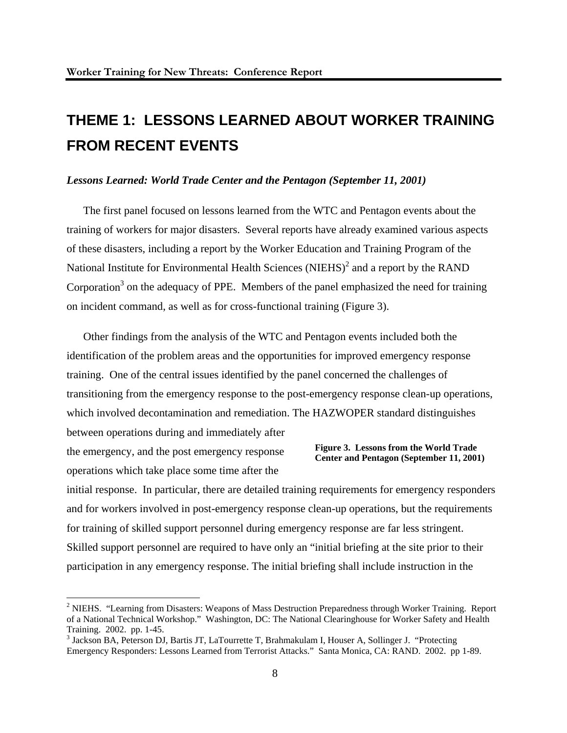## **THEME 1: LESSONS LEARNED ABOUT WORKER TRAINING FROM RECENT EVENTS**

### *Lessons Learned: World Trade Center and the Pentagon (September 11, 2001)*

The first panel focused on lessons learned from the WTC and Pentagon events about the training of workers for major disasters. Several reports have already examined various aspects of these disasters, including a report by the Worker Education and Training Program of the National Institute for Environmental Health Sciences (NIEHS) $^2$  and a report by the RAND Corporation<sup>3</sup> on the adequacy of PPE. Members of the panel emphasized the need for training on incident command, as well as for cross-functional training (Figure 3).

Other findings from the analysis of the WTC and Pentagon events included both the identification of the problem areas and the opportunities for improved emergency response training. One of the central issues identified by the panel concerned the challenges of transitioning from the emergency response to the post-emergency response clean-up operations, which involved decontamination and remediation. The HAZWOPER standard distinguishes between operations during and immediately after

the emergency, and the post emergency response operations which take place some time after the

 $\overline{a}$ 

### **Figure 3. Lessons from the World Trade Center and Pentagon (September 11, 2001)**

initial response. In particular, there are detailed training requirements for emergency responders and for workers involved in post-emergency response clean-up operations, but the requirements for training of skilled support personnel during emergency response are far less stringent. Skilled support personnel are required to have only an "initial briefing at the site prior to their participation in any emergency response. The initial briefing shall include instruction in the

<sup>&</sup>lt;sup>2</sup> NIEHS. "Learning from Disasters: Weapons of Mass Destruction Preparedness through Worker Training. Report of a National Technical Workshop." Washington, DC: The National Clearinghouse for Worker Safety and Health Training. 2002. pp. 1-45.

<sup>&</sup>lt;sup>3</sup> Jackson BA, Peterson DJ, Bartis JT, LaTourrette T, Brahmakulam I, Houser A, Sollinger J. "Protecting Emergency Responders: Lessons Learned from Terrorist Attacks." Santa Monica, CA: RAND. 2002. pp 1-89.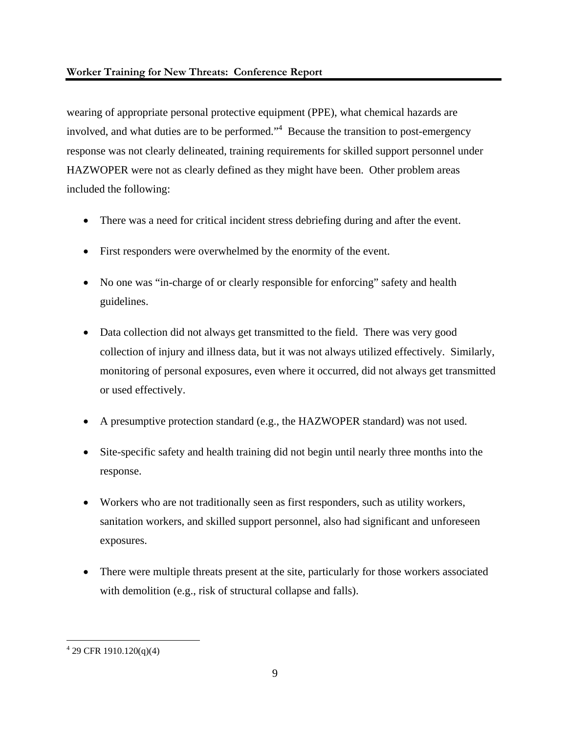wearing of appropriate personal protective equipment (PPE), what chemical hazards are involved, and what duties are to be performed.<sup>4</sup> Because the transition to post-emergency response was not clearly delineated, training requirements for skilled support personnel under HAZWOPER were not as clearly defined as they might have been. Other problem areas included the following:

- There was a need for critical incident stress debriefing during and after the event.
- First responders were overwhelmed by the enormity of the event.
- No one was "in-charge of or clearly responsible for enforcing" safety and health guidelines.
- Data collection did not always get transmitted to the field. There was very good collection of injury and illness data, but it was not always utilized effectively. Similarly, monitoring of personal exposures, even where it occurred, did not always get transmitted or used effectively.
- A presumptive protection standard (e.g., the HAZWOPER standard) was not used.
- Site-specific safety and health training did not begin until nearly three months into the response.
- Workers who are not traditionally seen as first responders, such as utility workers, sanitation workers, and skilled support personnel, also had significant and unforeseen exposures.
- There were multiple threats present at the site, particularly for those workers associated with demolition (e.g., risk of structural collapse and falls).

 4 29 CFR 1910.120(q)(4)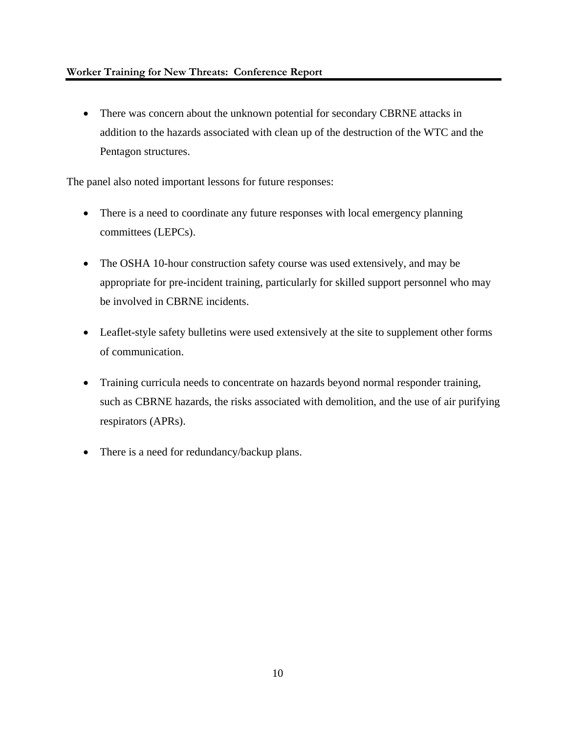• There was concern about the unknown potential for secondary CBRNE attacks in addition to the hazards associated with clean up of the destruction of the WTC and the Pentagon structures.

The panel also noted important lessons for future responses:

- There is a need to coordinate any future responses with local emergency planning committees (LEPCs).
- The OSHA 10-hour construction safety course was used extensively, and may be appropriate for pre-incident training, particularly for skilled support personnel who may be involved in CBRNE incidents.
- Leaflet-style safety bulletins were used extensively at the site to supplement other forms of communication.
- Training curricula needs to concentrate on hazards beyond normal responder training, such as CBRNE hazards, the risks associated with demolition, and the use of air purifying respirators (APRs).
- There is a need for redundancy/backup plans.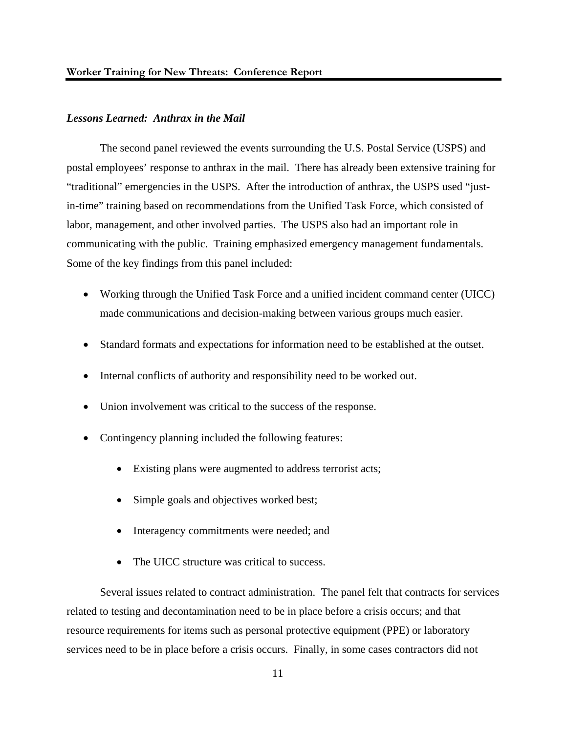### *Lessons Learned: Anthrax in the Mail*

 The second panel reviewed the events surrounding the U.S. Postal Service (USPS) and postal employees' response to anthrax in the mail. There has already been extensive training for "traditional" emergencies in the USPS. After the introduction of anthrax, the USPS used "justin-time" training based on recommendations from the Unified Task Force, which consisted of labor, management, and other involved parties. The USPS also had an important role in communicating with the public. Training emphasized emergency management fundamentals. Some of the key findings from this panel included:

- Working through the Unified Task Force and a unified incident command center (UICC) made communications and decision-making between various groups much easier.
- Standard formats and expectations for information need to be established at the outset.
- Internal conflicts of authority and responsibility need to be worked out.
- Union involvement was critical to the success of the response.
- Contingency planning included the following features:
	- Existing plans were augmented to address terrorist acts;
	- Simple goals and objectives worked best;
	- Interagency commitments were needed; and
	- The UICC structure was critical to success.

 Several issues related to contract administration. The panel felt that contracts for services related to testing and decontamination need to be in place before a crisis occurs; and that resource requirements for items such as personal protective equipment (PPE) or laboratory services need to be in place before a crisis occurs. Finally, in some cases contractors did not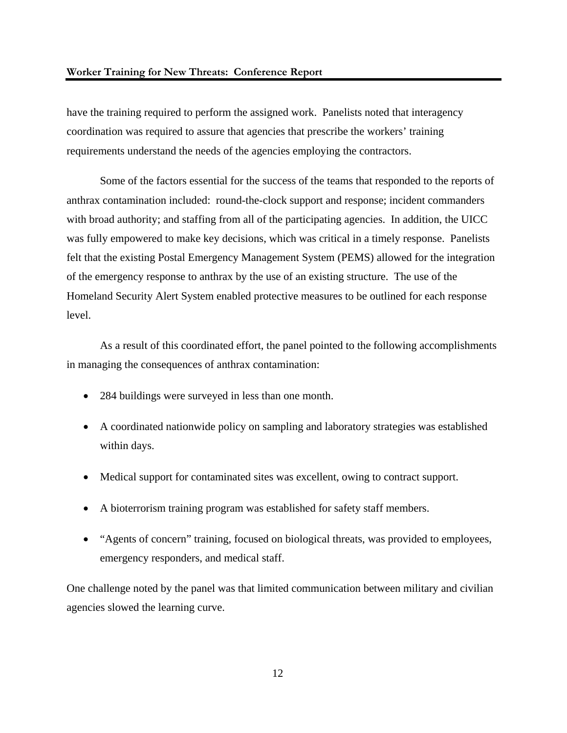have the training required to perform the assigned work. Panelists noted that interagency coordination was required to assure that agencies that prescribe the workers' training requirements understand the needs of the agencies employing the contractors.

 Some of the factors essential for the success of the teams that responded to the reports of anthrax contamination included: round-the-clock support and response; incident commanders with broad authority; and staffing from all of the participating agencies. In addition, the UICC was fully empowered to make key decisions, which was critical in a timely response. Panelists felt that the existing Postal Emergency Management System (PEMS) allowed for the integration of the emergency response to anthrax by the use of an existing structure. The use of the Homeland Security Alert System enabled protective measures to be outlined for each response level.

As a result of this coordinated effort, the panel pointed to the following accomplishments in managing the consequences of anthrax contamination:

- 284 buildings were surveyed in less than one month.
- A coordinated nationwide policy on sampling and laboratory strategies was established within days.
- Medical support for contaminated sites was excellent, owing to contract support.
- A bioterrorism training program was established for safety staff members.
- "Agents of concern" training, focused on biological threats, was provided to employees, emergency responders, and medical staff.

One challenge noted by the panel was that limited communication between military and civilian agencies slowed the learning curve.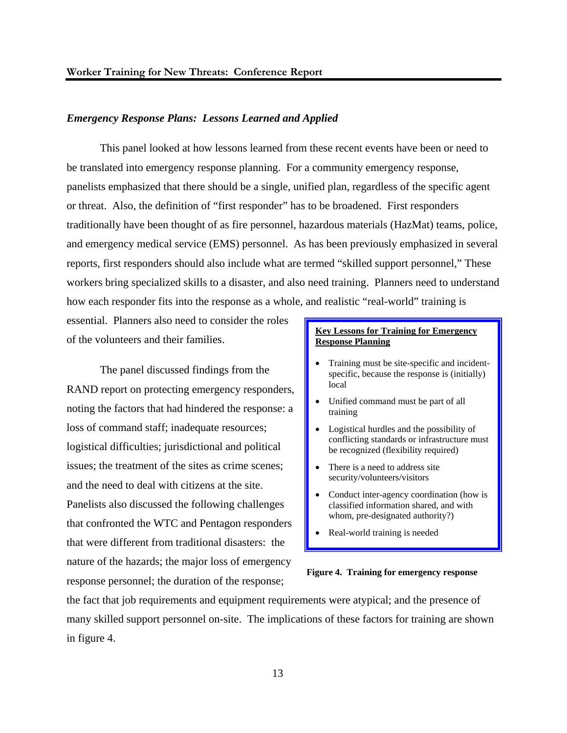### *Emergency Response Plans: Lessons Learned and Applied*

 This panel looked at how lessons learned from these recent events have been or need to be translated into emergency response planning. For a community emergency response, panelists emphasized that there should be a single, unified plan, regardless of the specific agent or threat. Also, the definition of "first responder" has to be broadened. First responders traditionally have been thought of as fire personnel, hazardous materials (HazMat) teams, police, and emergency medical service (EMS) personnel. As has been previously emphasized in several reports, first responders should also include what are termed "skilled support personnel," These workers bring specialized skills to a disaster, and also need training. Planners need to understand how each responder fits into the response as a whole, and realistic "real-world" training is

essential. Planners also need to consider the roles of the volunteers and their families.

The panel discussed findings from the RAND report on protecting emergency responders, noting the factors that had hindered the response: a loss of command staff; inadequate resources; logistical difficulties; jurisdictional and political issues; the treatment of the sites as crime scenes; and the need to deal with citizens at the site. Panelists also discussed the following challenges that confronted the WTC and Pentagon responders that were different from traditional disasters: the nature of the hazards; the major loss of emergency response personnel; the duration of the response;

### **Key Lessons for Training for Emergency Response Planning**

- Training must be site-specific and incidentspecific, because the response is (initially) local
- Unified command must be part of all training
- Logistical hurdles and the possibility of conflicting standards or infrastructure must be recognized (flexibility required)
- There is a need to address site security/volunteers/visitors
- Conduct inter-agency coordination (how is classified information shared, and with whom, pre-designated authority?)
- Real-world training is needed



the fact that job requirements and equipment requirements were atypical; and the presence of many skilled support personnel on-site. The implications of these factors for training are shown in figure 4.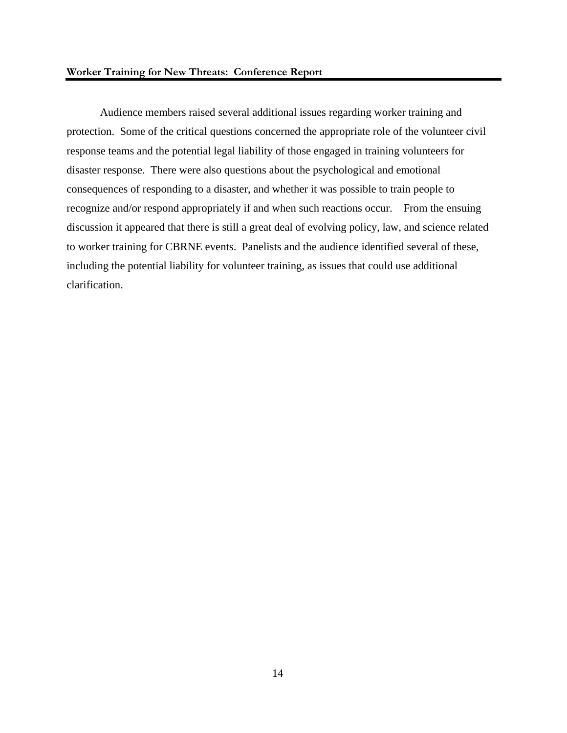Audience members raised several additional issues regarding worker training and protection. Some of the critical questions concerned the appropriate role of the volunteer civil response teams and the potential legal liability of those engaged in training volunteers for disaster response. There were also questions about the psychological and emotional consequences of responding to a disaster, and whether it was possible to train people to recognize and/or respond appropriately if and when such reactions occur. From the ensuing discussion it appeared that there is still a great deal of evolving policy, law, and science related to worker training for CBRNE events. Panelists and the audience identified several of these, including the potential liability for volunteer training, as issues that could use additional clarification.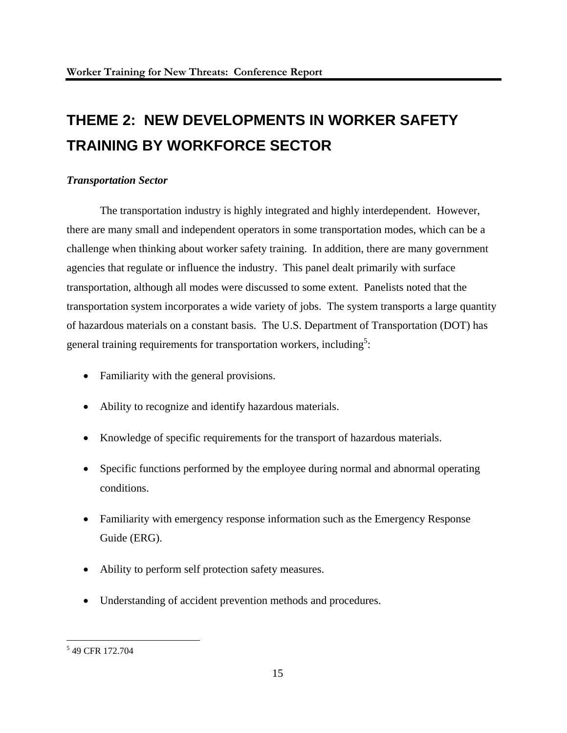## **THEME 2: NEW DEVELOPMENTS IN WORKER SAFETY TRAINING BY WORKFORCE SECTOR**

### *Transportation Sector*

 The transportation industry is highly integrated and highly interdependent. However, there are many small and independent operators in some transportation modes, which can be a challenge when thinking about worker safety training. In addition, there are many government agencies that regulate or influence the industry. This panel dealt primarily with surface transportation, although all modes were discussed to some extent. Panelists noted that the transportation system incorporates a wide variety of jobs. The system transports a large quantity of hazardous materials on a constant basis. The U.S. Department of Transportation (DOT) has general training requirements for transportation workers, including<sup>5</sup>:

- Familiarity with the general provisions.
- Ability to recognize and identify hazardous materials.
- Knowledge of specific requirements for the transport of hazardous materials.
- Specific functions performed by the employee during normal and abnormal operating conditions.
- Familiarity with emergency response information such as the Emergency Response Guide (ERG).
- Ability to perform self protection safety measures.
- Understanding of accident prevention methods and procedures.

<sup>&</sup>lt;sup>5</sup> 49 CFR 172.704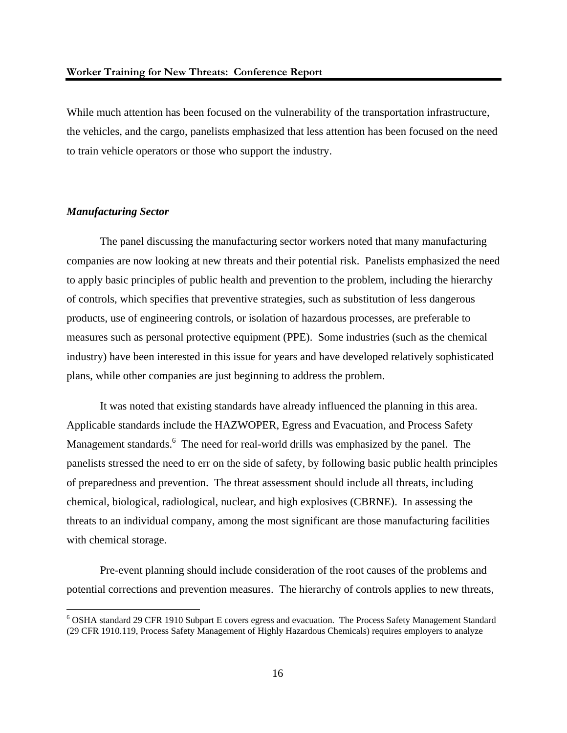While much attention has been focused on the vulnerability of the transportation infrastructure, the vehicles, and the cargo, panelists emphasized that less attention has been focused on the need to train vehicle operators or those who support the industry.

### *Manufacturing Sector*

 $\overline{a}$ 

The panel discussing the manufacturing sector workers noted that many manufacturing companies are now looking at new threats and their potential risk. Panelists emphasized the need to apply basic principles of public health and prevention to the problem, including the hierarchy of controls, which specifies that preventive strategies, such as substitution of less dangerous products, use of engineering controls, or isolation of hazardous processes, are preferable to measures such as personal protective equipment (PPE). Some industries (such as the chemical industry) have been interested in this issue for years and have developed relatively sophisticated plans, while other companies are just beginning to address the problem.

It was noted that existing standards have already influenced the planning in this area. Applicable standards include the HAZWOPER, Egress and Evacuation, and Process Safety Management standards. <sup>6</sup> The need for real-world drills was emphasized by the panel. The panelists stressed the need to err on the side of safety, by following basic public health principles of preparedness and prevention. The threat assessment should include all threats, including chemical, biological, radiological, nuclear, and high explosives (CBRNE). In assessing the threats to an individual company, among the most significant are those manufacturing facilities with chemical storage.

Pre-event planning should include consideration of the root causes of the problems and potential corrections and prevention measures. The hierarchy of controls applies to new threats,

<sup>&</sup>lt;sup>6</sup> OSHA standard 29 CFR 1910 Subpart E covers egress and evacuation. The Process Safety Management Standard (29 CFR 1910.119, Process Safety Management of Highly Hazardous Chemicals) requires employers to analyze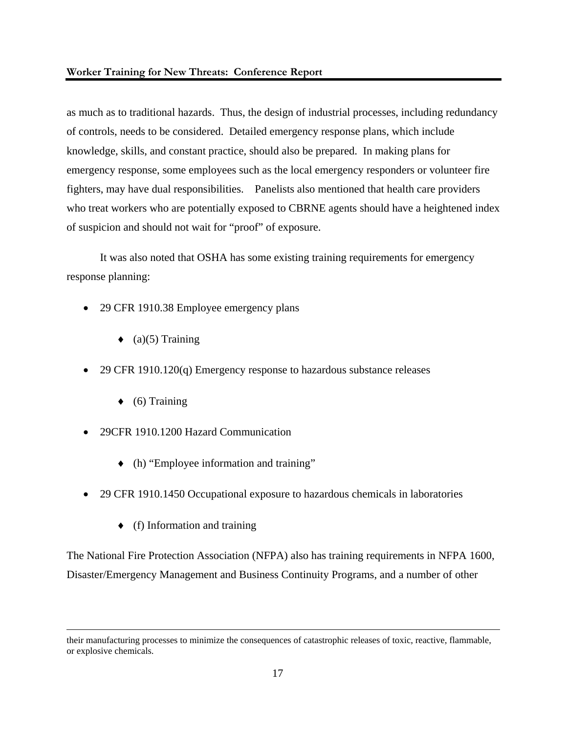### **Worker Training for New Threats: Conference Report**

as much as to traditional hazards. Thus, the design of industrial processes, including redundancy of controls, needs to be considered. Detailed emergency response plans, which include knowledge, skills, and constant practice, should also be prepared. In making plans for emergency response, some employees such as the local emergency responders or volunteer fire fighters, may have dual responsibilities. Panelists also mentioned that health care providers who treat workers who are potentially exposed to CBRNE agents should have a heightened index of suspicion and should not wait for "proof" of exposure.

 It was also noted that OSHA has some existing training requirements for emergency response planning:

- 29 CFR 1910.38 Employee emergency plans
	- $\bullet$  (a)(5) Training
- 29 CFR 1910.120(q) Emergency response to hazardous substance releases
	- $\bullet$  (6) Training
- 29CFR 1910.1200 Hazard Communication
	- ♦ (h) "Employee information and training"
- 29 CFR 1910.1450 Occupational exposure to hazardous chemicals in laboratories
	- $\bullet$  (f) Information and training

The National Fire Protection Association (NFPA) also has training requirements in NFPA 1600, Disaster/Emergency Management and Business Continuity Programs, and a number of other

their manufacturing processes to minimize the consequences of catastrophic releases of toxic, reactive, flammable, or explosive chemicals.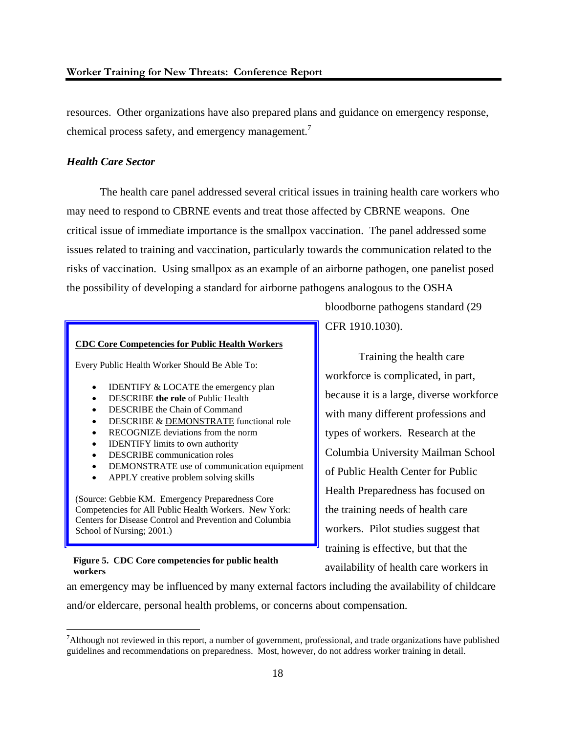resources. Other organizations have also prepared plans and guidance on emergency response, chemical process safety, and emergency management.<sup>7</sup>

### *Health Care Sector*

 The health care panel addressed several critical issues in training health care workers who may need to respond to CBRNE events and treat those affected by CBRNE weapons. One critical issue of immediate importance is the smallpox vaccination. The panel addressed some issues related to training and vaccination, particularly towards the communication related to the risks of vaccination. Using smallpox as an example of an airborne pathogen, one panelist posed the possibility of developing a standard for airborne pathogens analogous to the OSHA

#### **CDC Core Competencies for Public Health Workers**

Every Public Health Worker Should Be Able To:

- IDENTIFY & LOCATE the emergency plan
- DESCRIBE **the role** of Public Health
- DESCRIBE the Chain of Command
- DESCRIBE & DEMONSTRATE functional role
- RECOGNIZE deviations from the norm
- IDENTIFY limits to own authority
- DESCRIBE communication roles
- DEMONSTRATE use of communication equipment
- APPLY creative problem solving skills

(Source: Gebbie KM. Emergency Preparedness Core Competencies for All Public Health Workers. New York: Centers for Disease Control and Prevention and Columbia School of Nursing; 2001.)

#### **Figure 5. CDC Core competencies for public health workers**

1

bloodborne pathogens standard (29 CFR 1910.1030).

 Training the health care workforce is complicated, in part, because it is a large, diverse workforce with many different professions and types of workers. Research at the Columbia University Mailman School of Public Health Center for Public Health Preparedness has focused on the training needs of health care workers. Pilot studies suggest that training is effective, but that the availability of health care workers in

an emergency may be influenced by many external factors including the availability of childcare and/or eldercare, personal health problems, or concerns about compensation.

<sup>&</sup>lt;sup>7</sup>Although not reviewed in this report, a number of government, professional, and trade organizations have published guidelines and recommendations on preparedness. Most, however, do not address worker training in detail.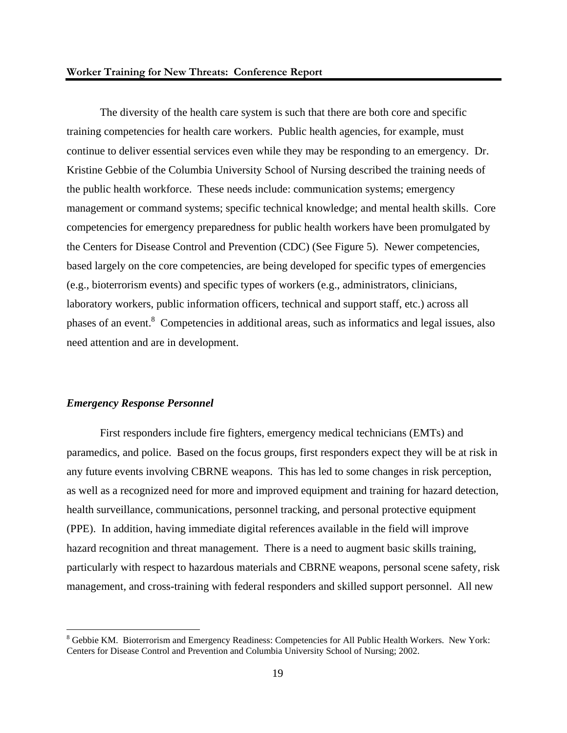The diversity of the health care system is such that there are both core and specific training competencies for health care workers. Public health agencies, for example, must continue to deliver essential services even while they may be responding to an emergency. Dr. Kristine Gebbie of the Columbia University School of Nursing described the training needs of the public health workforce. These needs include: communication systems; emergency management or command systems; specific technical knowledge; and mental health skills. Core competencies for emergency preparedness for public health workers have been promulgated by the Centers for Disease Control and Prevention (CDC) (See Figure 5). Newer competencies, based largely on the core competencies, are being developed for specific types of emergencies (e.g., bioterrorism events) and specific types of workers (e.g., administrators, clinicians, laboratory workers, public information officers, technical and support staff, etc.) across all phases of an event.<sup>8</sup> Competencies in additional areas, such as informatics and legal issues, also need attention and are in development.

### *Emergency Response Personnel*

 $\overline{a}$ 

 First responders include fire fighters, emergency medical technicians (EMTs) and paramedics, and police. Based on the focus groups, first responders expect they will be at risk in any future events involving CBRNE weapons. This has led to some changes in risk perception, as well as a recognized need for more and improved equipment and training for hazard detection, health surveillance, communications, personnel tracking, and personal protective equipment (PPE). In addition, having immediate digital references available in the field will improve hazard recognition and threat management. There is a need to augment basic skills training, particularly with respect to hazardous materials and CBRNE weapons, personal scene safety, risk management, and cross-training with federal responders and skilled support personnel. All new

<sup>&</sup>lt;sup>8</sup> Gebbie KM. Bioterrorism and Emergency Readiness: Competencies for All Public Health Workers. New York: Centers for Disease Control and Prevention and Columbia University School of Nursing; 2002.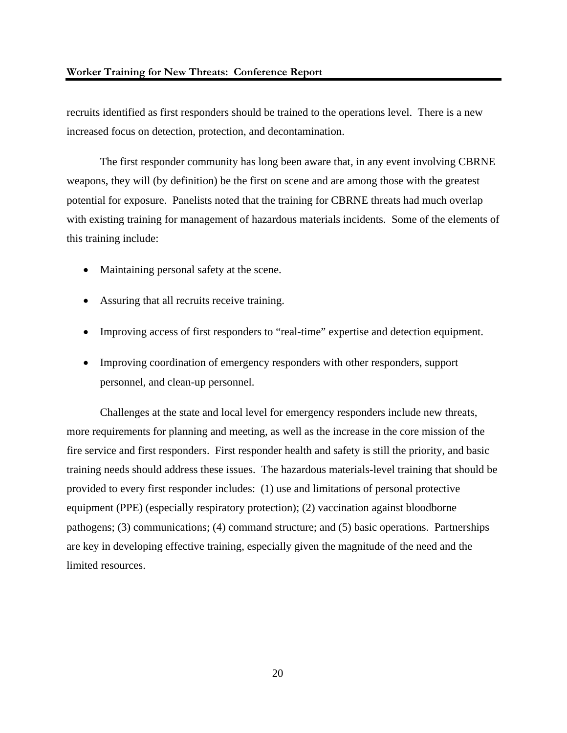recruits identified as first responders should be trained to the operations level. There is a new increased focus on detection, protection, and decontamination.

 The first responder community has long been aware that, in any event involving CBRNE weapons, they will (by definition) be the first on scene and are among those with the greatest potential for exposure. Panelists noted that the training for CBRNE threats had much overlap with existing training for management of hazardous materials incidents. Some of the elements of this training include:

- Maintaining personal safety at the scene.
- Assuring that all recruits receive training.
- Improving access of first responders to "real-time" expertise and detection equipment.
- Improving coordination of emergency responders with other responders, support personnel, and clean-up personnel.

 Challenges at the state and local level for emergency responders include new threats, more requirements for planning and meeting, as well as the increase in the core mission of the fire service and first responders. First responder health and safety is still the priority, and basic training needs should address these issues. The hazardous materials-level training that should be provided to every first responder includes: (1) use and limitations of personal protective equipment (PPE) (especially respiratory protection); (2) vaccination against bloodborne pathogens; (3) communications; (4) command structure; and (5) basic operations. Partnerships are key in developing effective training, especially given the magnitude of the need and the limited resources.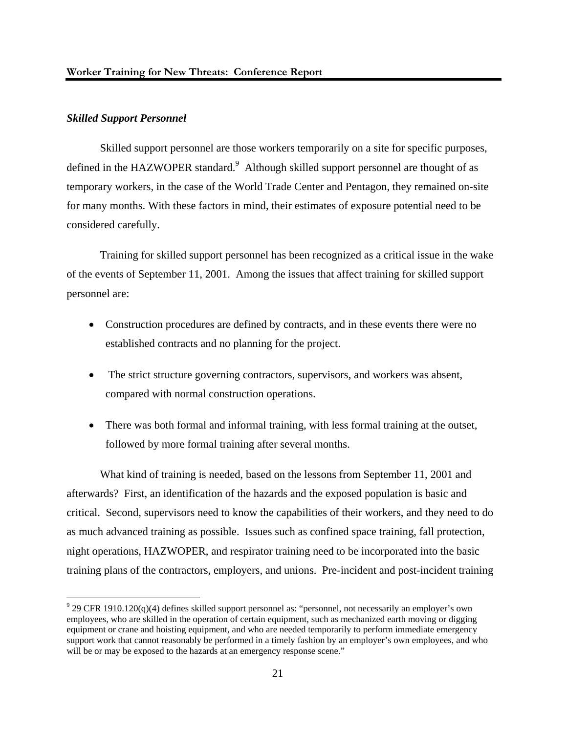### *Skilled Support Personnel*

1

 Skilled support personnel are those workers temporarily on a site for specific purposes, defined in the HAZWOPER standard.<sup>9</sup> Although skilled support personnel are thought of as temporary workers, in the case of the World Trade Center and Pentagon, they remained on-site for many months. With these factors in mind, their estimates of exposure potential need to be considered carefully.

 Training for skilled support personnel has been recognized as a critical issue in the wake of the events of September 11, 2001. Among the issues that affect training for skilled support personnel are:

- Construction procedures are defined by contracts, and in these events there were no established contracts and no planning for the project.
- The strict structure governing contractors, supervisors, and workers was absent, compared with normal construction operations.
- There was both formal and informal training, with less formal training at the outset, followed by more formal training after several months.

 What kind of training is needed, based on the lessons from September 11, 2001 and afterwards? First, an identification of the hazards and the exposed population is basic and critical. Second, supervisors need to know the capabilities of their workers, and they need to do as much advanced training as possible. Issues such as confined space training, fall protection, night operations, HAZWOPER, and respirator training need to be incorporated into the basic training plans of the contractors, employers, and unions. Pre-incident and post-incident training

 $9$  29 CFR 1910.120(q)(4) defines skilled support personnel as: "personnel, not necessarily an employer's own employees, who are skilled in the operation of certain equipment, such as mechanized earth moving or digging equipment or crane and hoisting equipment, and who are needed temporarily to perform immediate emergency support work that cannot reasonably be performed in a timely fashion by an employer's own employees, and who will be or may be exposed to the hazards at an emergency response scene."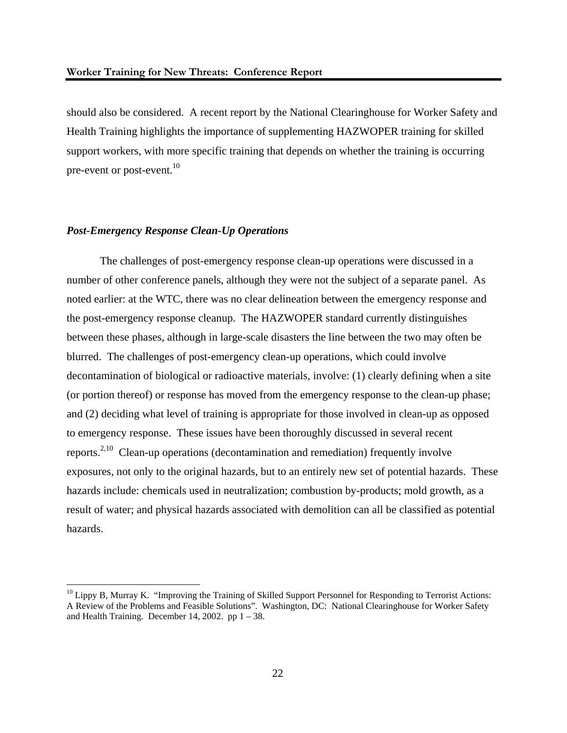should also be considered. A recent report by the National Clearinghouse for Worker Safety and Health Training highlights the importance of supplementing HAZWOPER training for skilled support workers, with more specific training that depends on whether the training is occurring pre-event or post-event.<sup>10</sup>

### *Post-Emergency Response Clean-Up Operations*

 $\overline{a}$ 

 The challenges of post-emergency response clean-up operations were discussed in a number of other conference panels, although they were not the subject of a separate panel. As noted earlier: at the WTC, there was no clear delineation between the emergency response and the post-emergency response cleanup. The HAZWOPER standard currently distinguishes between these phases, although in large-scale disasters the line between the two may often be blurred. The challenges of post-emergency clean-up operations, which could involve decontamination of biological or radioactive materials, involve: (1) clearly defining when a site (or portion thereof) or response has moved from the emergency response to the clean-up phase; and (2) deciding what level of training is appropriate for those involved in clean-up as opposed to emergency response. These issues have been thoroughly discussed in several recent reports.2,10 Clean-up operations (decontamination and remediation) frequently involve exposures, not only to the original hazards, but to an entirely new set of potential hazards. These hazards include: chemicals used in neutralization; combustion by-products; mold growth, as a result of water; and physical hazards associated with demolition can all be classified as potential hazards.

 $10$  Lippy B, Murray K. "Improving the Training of Skilled Support Personnel for Responding to Terrorist Actions: A Review of the Problems and Feasible Solutions". Washington, DC: National Clearinghouse for Worker Safety and Health Training. December 14, 2002. pp  $1 - 38$ .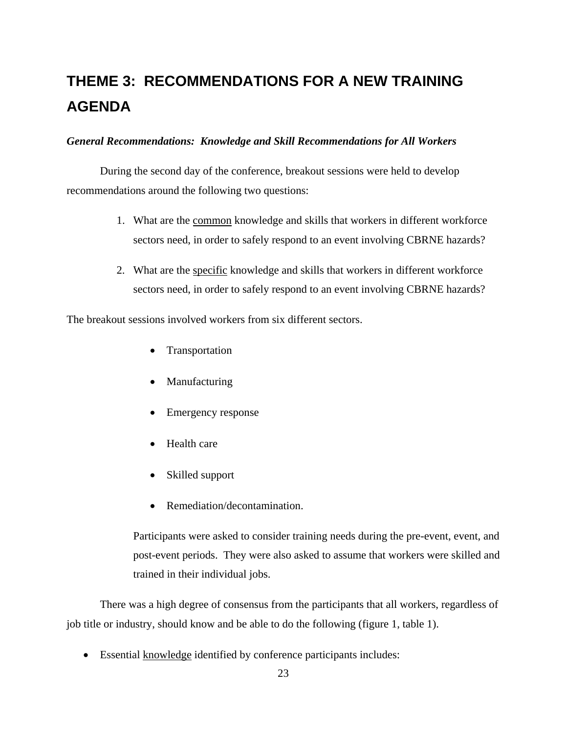## **THEME 3: RECOMMENDATIONS FOR A NEW TRAINING AGENDA**

### *General Recommendations: Knowledge and Skill Recommendations for All Workers*

During the second day of the conference, breakout sessions were held to develop recommendations around the following two questions:

- 1. What are the common knowledge and skills that workers in different workforce sectors need, in order to safely respond to an event involving CBRNE hazards?
- 2. What are the specific knowledge and skills that workers in different workforce sectors need, in order to safely respond to an event involving CBRNE hazards?

The breakout sessions involved workers from six different sectors.

- **Transportation**
- Manufacturing
- Emergency response
- Health care
- Skilled support
- Remediation/decontamination.

Participants were asked to consider training needs during the pre-event, event, and post-event periods. They were also asked to assume that workers were skilled and trained in their individual jobs.

 There was a high degree of consensus from the participants that all workers, regardless of job title or industry, should know and be able to do the following (figure 1, table 1).

• Essential knowledge identified by conference participants includes: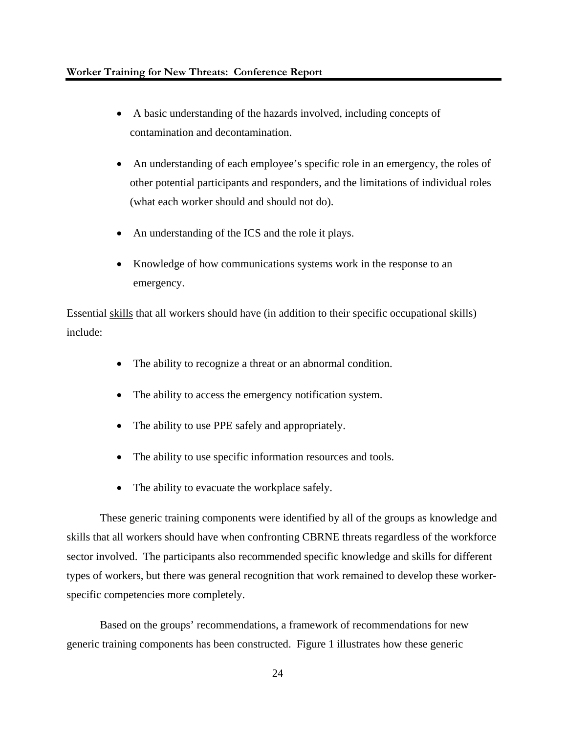- A basic understanding of the hazards involved, including concepts of contamination and decontamination.
- An understanding of each employee's specific role in an emergency, the roles of other potential participants and responders, and the limitations of individual roles (what each worker should and should not do).
- An understanding of the ICS and the role it plays.
- Knowledge of how communications systems work in the response to an emergency.

Essential skills that all workers should have (in addition to their specific occupational skills) include:

- The ability to recognize a threat or an abnormal condition.
- The ability to access the emergency notification system.
- The ability to use PPE safely and appropriately.
- The ability to use specific information resources and tools.
- The ability to evacuate the workplace safely.

These generic training components were identified by all of the groups as knowledge and skills that all workers should have when confronting CBRNE threats regardless of the workforce sector involved. The participants also recommended specific knowledge and skills for different types of workers, but there was general recognition that work remained to develop these workerspecific competencies more completely.

Based on the groups' recommendations, a framework of recommendations for new generic training components has been constructed. Figure 1 illustrates how these generic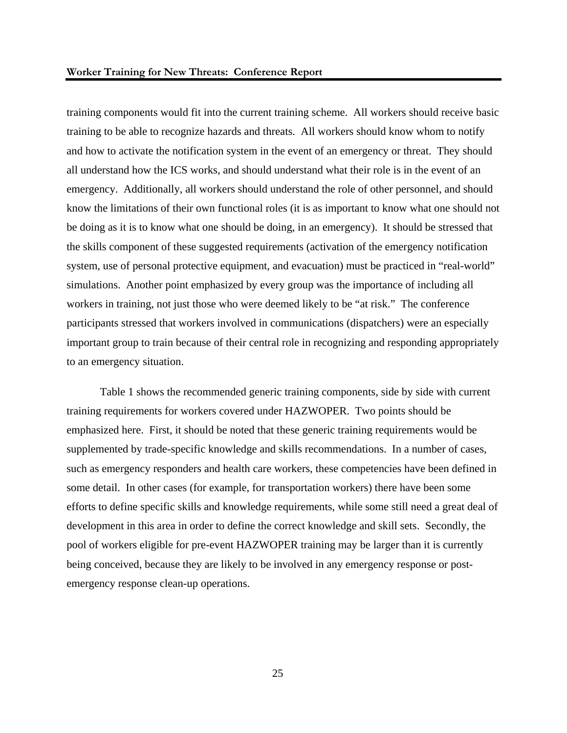training components would fit into the current training scheme. All workers should receive basic training to be able to recognize hazards and threats. All workers should know whom to notify and how to activate the notification system in the event of an emergency or threat. They should all understand how the ICS works, and should understand what their role is in the event of an emergency. Additionally, all workers should understand the role of other personnel, and should know the limitations of their own functional roles (it is as important to know what one should not be doing as it is to know what one should be doing, in an emergency). It should be stressed that the skills component of these suggested requirements (activation of the emergency notification system, use of personal protective equipment, and evacuation) must be practiced in "real-world" simulations. Another point emphasized by every group was the importance of including all workers in training, not just those who were deemed likely to be "at risk." The conference participants stressed that workers involved in communications (dispatchers) were an especially important group to train because of their central role in recognizing and responding appropriately to an emergency situation.

 Table 1 shows the recommended generic training components, side by side with current training requirements for workers covered under HAZWOPER. Two points should be emphasized here. First, it should be noted that these generic training requirements would be supplemented by trade-specific knowledge and skills recommendations. In a number of cases, such as emergency responders and health care workers, these competencies have been defined in some detail. In other cases (for example, for transportation workers) there have been some efforts to define specific skills and knowledge requirements, while some still need a great deal of development in this area in order to define the correct knowledge and skill sets. Secondly, the pool of workers eligible for pre-event HAZWOPER training may be larger than it is currently being conceived, because they are likely to be involved in any emergency response or postemergency response clean-up operations.

25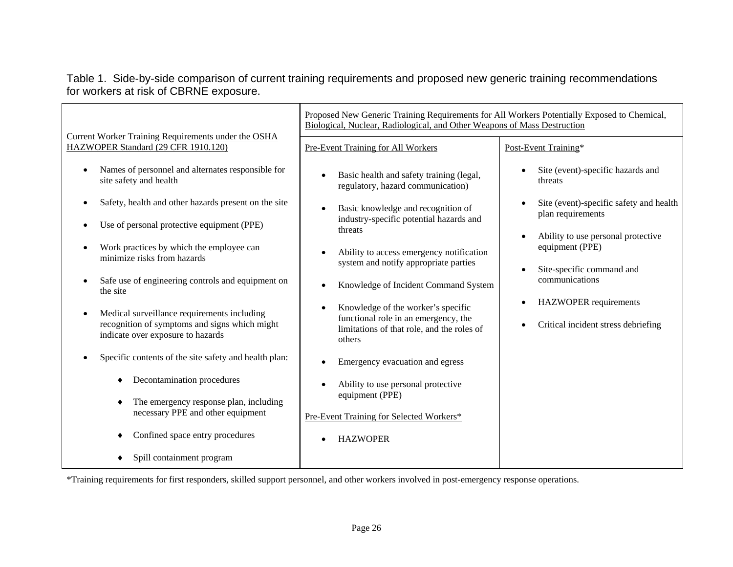### Table 1. Side-by-side comparison of current training requirements and proposed new generic training recommendations for workers at risk of CBRNE exposure.

|                                                                                                                                                                                                                                                                                                                                                                                                                                                                                                                                                                                                                                                                                                                                      | Proposed New Generic Training Requirements for All Workers Potentially Exposed to Chemical,<br>Biological, Nuclear, Radiological, and Other Weapons of Mass Destruction                                                                                                                                                                                                                                                                                                                                                                                                                                 |                                                                                                                                                                                                                                                                                                          |
|--------------------------------------------------------------------------------------------------------------------------------------------------------------------------------------------------------------------------------------------------------------------------------------------------------------------------------------------------------------------------------------------------------------------------------------------------------------------------------------------------------------------------------------------------------------------------------------------------------------------------------------------------------------------------------------------------------------------------------------|---------------------------------------------------------------------------------------------------------------------------------------------------------------------------------------------------------------------------------------------------------------------------------------------------------------------------------------------------------------------------------------------------------------------------------------------------------------------------------------------------------------------------------------------------------------------------------------------------------|----------------------------------------------------------------------------------------------------------------------------------------------------------------------------------------------------------------------------------------------------------------------------------------------------------|
| Current Worker Training Requirements under the OSHA<br>HAZWOPER Standard (29 CFR 1910.120)                                                                                                                                                                                                                                                                                                                                                                                                                                                                                                                                                                                                                                           | Pre-Event Training for All Workers                                                                                                                                                                                                                                                                                                                                                                                                                                                                                                                                                                      | Post-Event Training*                                                                                                                                                                                                                                                                                     |
| Names of personnel and alternates responsible for<br>$\bullet$<br>site safety and health<br>Safety, health and other hazards present on the site<br>$\bullet$<br>Use of personal protective equipment (PPE)<br>Work practices by which the employee can<br>$\bullet$<br>minimize risks from hazards<br>Safe use of engineering controls and equipment on<br>the site<br>Medical surveillance requirements including<br>$\bullet$<br>recognition of symptoms and signs which might<br>indicate over exposure to hazards<br>Specific contents of the site safety and health plan:<br>Decontamination procedures<br>٠<br>The emergency response plan, including<br>necessary PPE and other equipment<br>Confined space entry procedures | Basic health and safety training (legal,<br>regulatory, hazard communication)<br>Basic knowledge and recognition of<br>industry-specific potential hazards and<br>threats<br>Ability to access emergency notification<br>system and notify appropriate parties<br>Knowledge of Incident Command System<br>Knowledge of the worker's specific<br>functional role in an emergency, the<br>limitations of that role, and the roles of<br>others<br>Emergency evacuation and egress<br>Ability to use personal protective<br>equipment (PPE)<br>Pre-Event Training for Selected Workers*<br><b>HAZWOPER</b> | Site (event)-specific hazards and<br>threats<br>Site (event)-specific safety and health<br>plan requirements<br>Ability to use personal protective<br>equipment (PPE)<br>Site-specific command and<br>communications<br><b>HAZWOPER</b> requirements<br>$\bullet$<br>Critical incident stress debriefing |
| Spill containment program                                                                                                                                                                                                                                                                                                                                                                                                                                                                                                                                                                                                                                                                                                            |                                                                                                                                                                                                                                                                                                                                                                                                                                                                                                                                                                                                         |                                                                                                                                                                                                                                                                                                          |

\*Training requirements for first responders, skilled support personnel, and other workers involved in post-emergency response operations.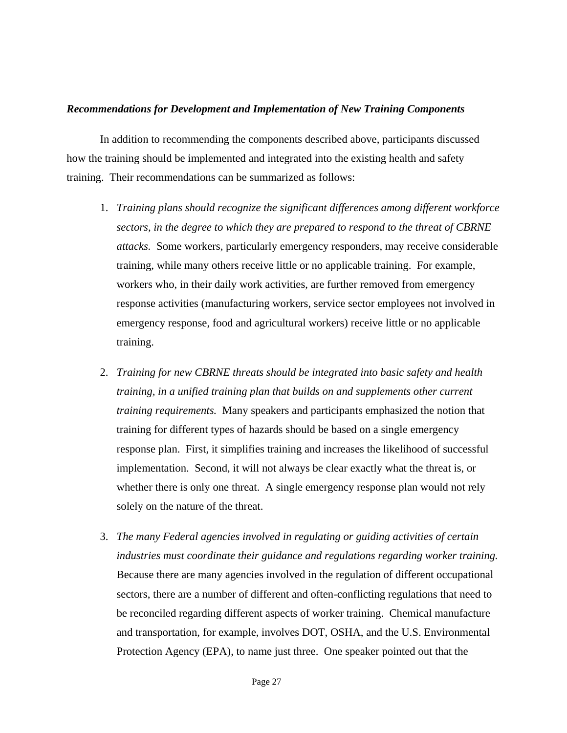### *Recommendations for Development and Implementation of New Training Components*

 In addition to recommending the components described above, participants discussed how the training should be implemented and integrated into the existing health and safety training. Their recommendations can be summarized as follows:

- 1. *Training plans should recognize the significant differences among different workforce sectors, in the degree to which they are prepared to respond to the threat of CBRNE attacks.* Some workers, particularly emergency responders, may receive considerable training, while many others receive little or no applicable training. For example, workers who, in their daily work activities, are further removed from emergency response activities (manufacturing workers, service sector employees not involved in emergency response, food and agricultural workers) receive little or no applicable training.
- 2. *Training for new CBRNE threats should be integrated into basic safety and health training, in a unified training plan that builds on and supplements other current training requirements.* Many speakers and participants emphasized the notion that training for different types of hazards should be based on a single emergency response plan. First, it simplifies training and increases the likelihood of successful implementation. Second, it will not always be clear exactly what the threat is, or whether there is only one threat. A single emergency response plan would not rely solely on the nature of the threat.
- 3. *The many Federal agencies involved in regulating or guiding activities of certain industries must coordinate their guidance and regulations regarding worker training.*  Because there are many agencies involved in the regulation of different occupational sectors, there are a number of different and often-conflicting regulations that need to be reconciled regarding different aspects of worker training. Chemical manufacture and transportation, for example, involves DOT, OSHA, and the U.S. Environmental Protection Agency (EPA), to name just three. One speaker pointed out that the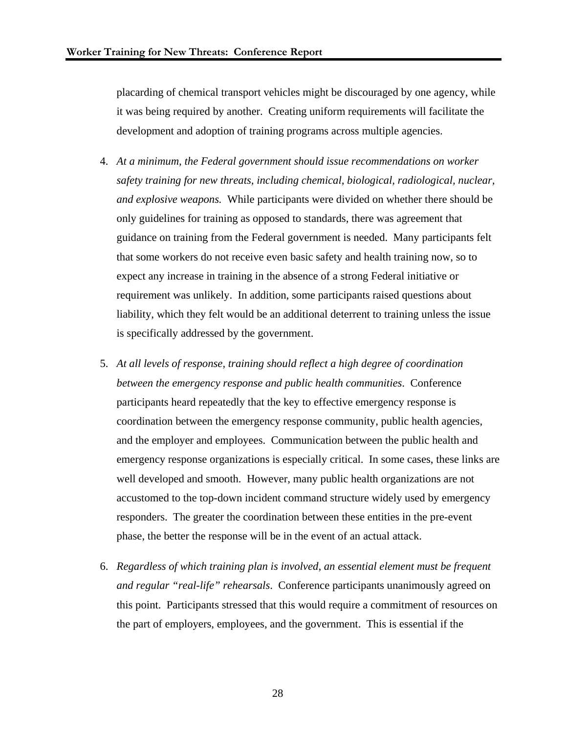placarding of chemical transport vehicles might be discouraged by one agency, while it was being required by another. Creating uniform requirements will facilitate the development and adoption of training programs across multiple agencies.

- 4. *At a minimum, the Federal government should issue recommendations on worker safety training for new threats, including chemical, biological, radiological, nuclear, and explosive weapons.* While participants were divided on whether there should be only guidelines for training as opposed to standards, there was agreement that guidance on training from the Federal government is needed. Many participants felt that some workers do not receive even basic safety and health training now, so to expect any increase in training in the absence of a strong Federal initiative or requirement was unlikely. In addition, some participants raised questions about liability, which they felt would be an additional deterrent to training unless the issue is specifically addressed by the government.
- 5. *At all levels of response, training should reflect a high degree of coordination between the emergency response and public health communities*. Conference participants heard repeatedly that the key to effective emergency response is coordination between the emergency response community, public health agencies, and the employer and employees. Communication between the public health and emergency response organizations is especially critical. In some cases, these links are well developed and smooth. However, many public health organizations are not accustomed to the top-down incident command structure widely used by emergency responders. The greater the coordination between these entities in the pre-event phase, the better the response will be in the event of an actual attack.
- 6. *Regardless of which training plan is involved, an essential element must be frequent and regular "real-life" rehearsals*. Conference participants unanimously agreed on this point. Participants stressed that this would require a commitment of resources on the part of employers, employees, and the government. This is essential if the

28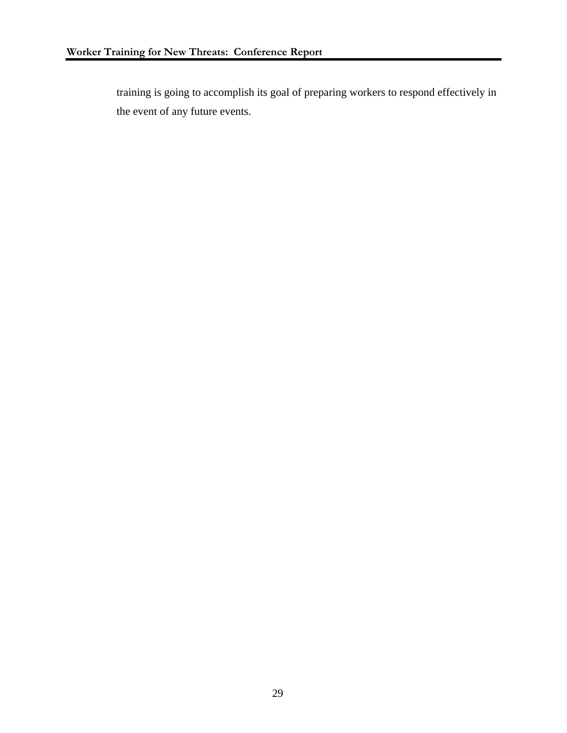training is going to accomplish its goal of preparing workers to respond effectively in the event of any future events.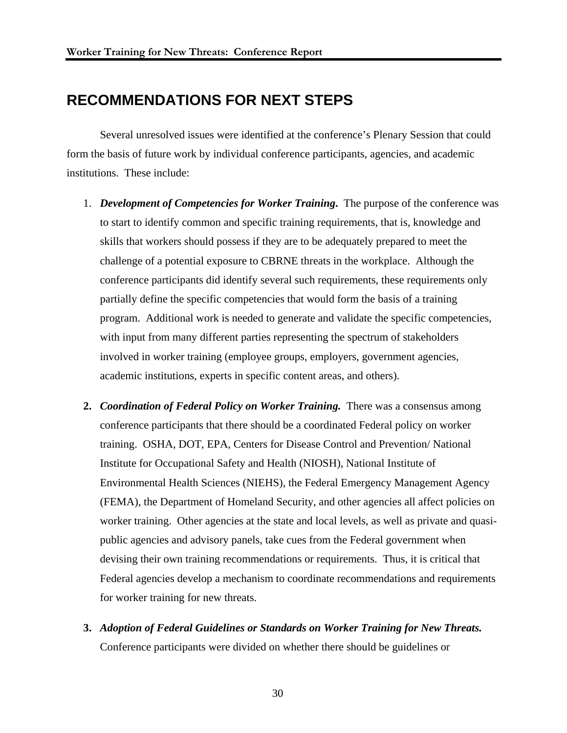## **RECOMMENDATIONS FOR NEXT STEPS**

 Several unresolved issues were identified at the conference's Plenary Session that could form the basis of future work by individual conference participants, agencies, and academic institutions. These include:

- 1. *Development of Competencies for Worker Training***.** The purpose of the conference was to start to identify common and specific training requirements, that is, knowledge and skills that workers should possess if they are to be adequately prepared to meet the challenge of a potential exposure to CBRNE threats in the workplace. Although the conference participants did identify several such requirements, these requirements only partially define the specific competencies that would form the basis of a training program. Additional work is needed to generate and validate the specific competencies, with input from many different parties representing the spectrum of stakeholders involved in worker training (employee groups, employers, government agencies, academic institutions, experts in specific content areas, and others).
- **2.** *Coordination of Federal Policy on Worker Training.* There was a consensus among conference participants that there should be a coordinated Federal policy on worker training. OSHA, DOT, EPA, Centers for Disease Control and Prevention/ National Institute for Occupational Safety and Health (NIOSH), National Institute of Environmental Health Sciences (NIEHS), the Federal Emergency Management Agency (FEMA), the Department of Homeland Security, and other agencies all affect policies on worker training. Other agencies at the state and local levels, as well as private and quasipublic agencies and advisory panels, take cues from the Federal government when devising their own training recommendations or requirements. Thus, it is critical that Federal agencies develop a mechanism to coordinate recommendations and requirements for worker training for new threats.
- **3.** *Adoption of Federal Guidelines or Standards on Worker Training for New Threats.*  Conference participants were divided on whether there should be guidelines or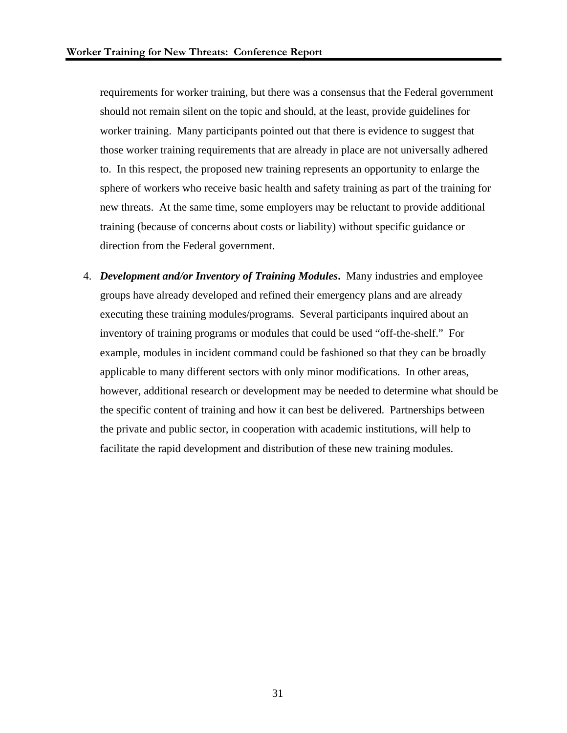requirements for worker training, but there was a consensus that the Federal government should not remain silent on the topic and should, at the least, provide guidelines for worker training. Many participants pointed out that there is evidence to suggest that those worker training requirements that are already in place are not universally adhered to. In this respect, the proposed new training represents an opportunity to enlarge the sphere of workers who receive basic health and safety training as part of the training for new threats. At the same time, some employers may be reluctant to provide additional training (because of concerns about costs or liability) without specific guidance or direction from the Federal government.

4. *Development and/or Inventory of Training Modules***.** Many industries and employee groups have already developed and refined their emergency plans and are already executing these training modules/programs. Several participants inquired about an inventory of training programs or modules that could be used "off-the-shelf." For example, modules in incident command could be fashioned so that they can be broadly applicable to many different sectors with only minor modifications. In other areas, however, additional research or development may be needed to determine what should be the specific content of training and how it can best be delivered. Partnerships between the private and public sector, in cooperation with academic institutions, will help to facilitate the rapid development and distribution of these new training modules.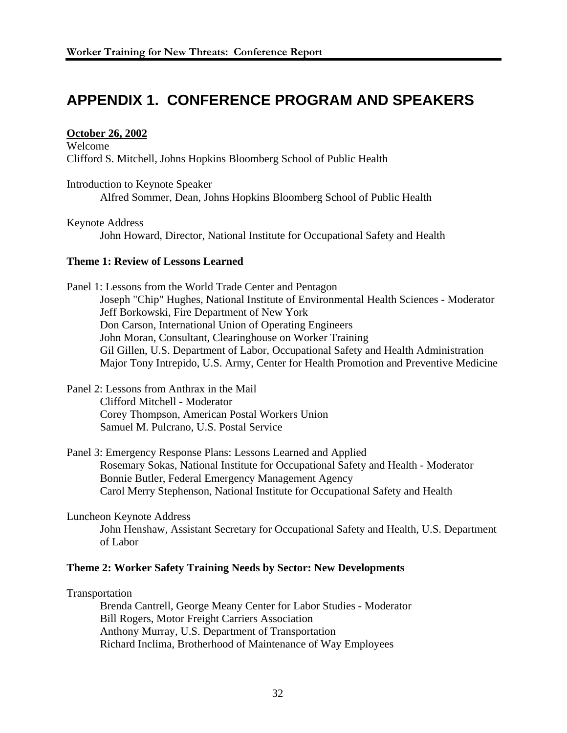## **APPENDIX 1. CONFERENCE PROGRAM AND SPEAKERS**

### **October 26, 2002**

Welcome Clifford S. Mitchell, Johns Hopkins Bloomberg School of Public Health

Introduction to Keynote Speaker

Alfred Sommer, Dean, Johns Hopkins Bloomberg School of Public Health

Keynote Address

John Howard, Director, National Institute for Occupational Safety and Health

### **Theme 1: Review of Lessons Learned**

Panel 1: Lessons from the World Trade Center and Pentagon Joseph "Chip" Hughes, National Institute of Environmental Health Sciences - Moderator Jeff Borkowski, Fire Department of New York Don Carson, International Union of Operating Engineers John Moran, Consultant, Clearinghouse on Worker Training Gil Gillen, U.S. Department of Labor, Occupational Safety and Health Administration Major Tony Intrepido, U.S. Army, Center for Health Promotion and Preventive Medicine

- Panel 2: Lessons from Anthrax in the Mail Clifford Mitchell - Moderator Corey Thompson, American Postal Workers Union Samuel M. Pulcrano, U.S. Postal Service
- Panel 3: Emergency Response Plans: Lessons Learned and Applied Rosemary Sokas, National Institute for Occupational Safety and Health - Moderator Bonnie Butler, Federal Emergency Management Agency Carol Merry Stephenson, National Institute for Occupational Safety and Health

Luncheon Keynote Address John Henshaw, Assistant Secretary for Occupational Safety and Health, U.S. Department of Labor

### **Theme 2: Worker Safety Training Needs by Sector: New Developments**

Transportation

Brenda Cantrell, George Meany Center for Labor Studies - Moderator Bill Rogers, Motor Freight Carriers Association Anthony Murray, U.S. Department of Transportation Richard Inclima, Brotherhood of Maintenance of Way Employees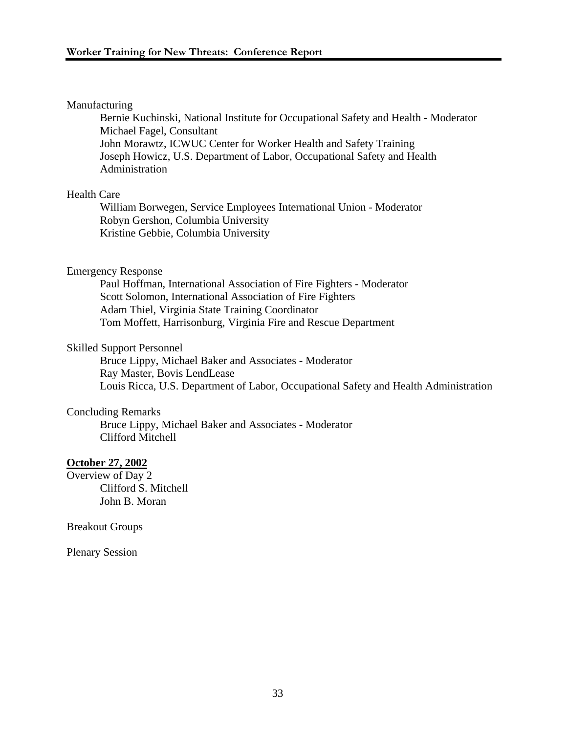### Manufacturing

Bernie Kuchinski, National Institute for Occupational Safety and Health - Moderator Michael Fagel, Consultant John Morawtz, ICWUC Center for Worker Health and Safety Training Joseph Howicz, U.S. Department of Labor, Occupational Safety and Health Administration

### Health Care

William Borwegen, Service Employees International Union - Moderator Robyn Gershon, Columbia University Kristine Gebbie, Columbia University

### Emergency Response

Paul Hoffman, International Association of Fire Fighters - Moderator Scott Solomon, International Association of Fire Fighters Adam Thiel, Virginia State Training Coordinator Tom Moffett, Harrisonburg, Virginia Fire and Rescue Department

### Skilled Support Personnel

Bruce Lippy, Michael Baker and Associates - Moderator Ray Master, Bovis LendLease Louis Ricca, U.S. Department of Labor, Occupational Safety and Health Administration

### Concluding Remarks

Bruce Lippy, Michael Baker and Associates - Moderator Clifford Mitchell

### **October 27, 2002**

Overview of Day 2 Clifford S. Mitchell John B. Moran

Breakout Groups

Plenary Session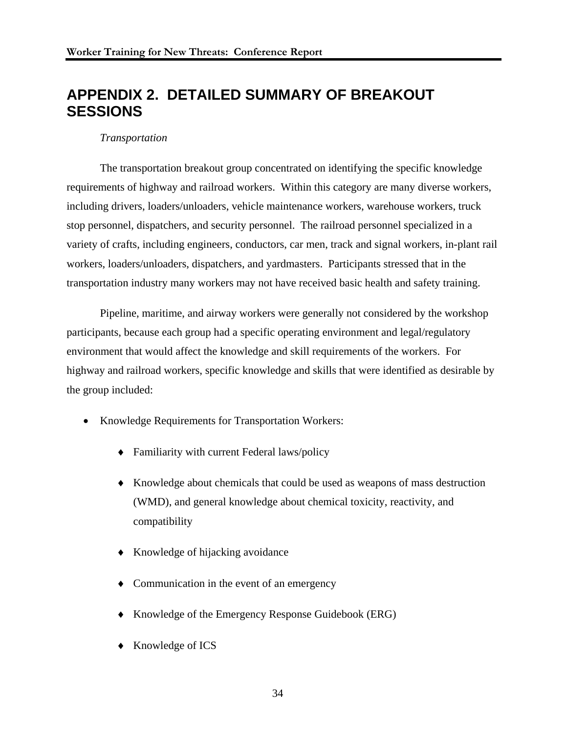## **APPENDIX 2. DETAILED SUMMARY OF BREAKOUT SESSIONS**

### *Transportation*

 The transportation breakout group concentrated on identifying the specific knowledge requirements of highway and railroad workers. Within this category are many diverse workers, including drivers, loaders/unloaders, vehicle maintenance workers, warehouse workers, truck stop personnel, dispatchers, and security personnel. The railroad personnel specialized in a variety of crafts, including engineers, conductors, car men, track and signal workers, in-plant rail workers, loaders/unloaders, dispatchers, and yardmasters. Participants stressed that in the transportation industry many workers may not have received basic health and safety training.

Pipeline, maritime, and airway workers were generally not considered by the workshop participants, because each group had a specific operating environment and legal/regulatory environment that would affect the knowledge and skill requirements of the workers. For highway and railroad workers, specific knowledge and skills that were identified as desirable by the group included:

- Knowledge Requirements for Transportation Workers:
	- ♦ Familiarity with current Federal laws/policy
	- ♦ Knowledge about chemicals that could be used as weapons of mass destruction (WMD), and general knowledge about chemical toxicity, reactivity, and compatibility
	- ♦ Knowledge of hijacking avoidance
	- ♦ Communication in the event of an emergency
	- ♦ Knowledge of the Emergency Response Guidebook (ERG)
	- Knowledge of ICS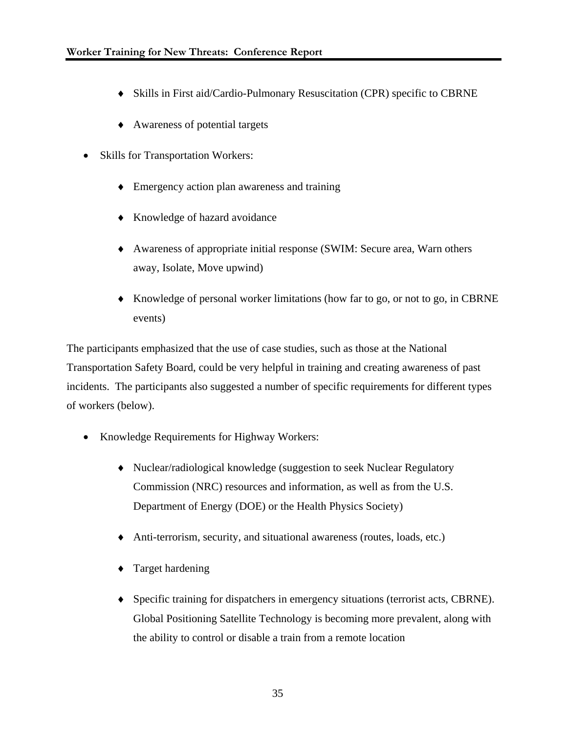- ♦ Skills in First aid/Cardio-Pulmonary Resuscitation (CPR) specific to CBRNE
- ♦ Awareness of potential targets
- Skills for Transportation Workers:
	- Emergency action plan awareness and training
	- ♦ Knowledge of hazard avoidance
	- ♦ Awareness of appropriate initial response (SWIM: Secure area, Warn others away, Isolate, Move upwind)
	- ♦ Knowledge of personal worker limitations (how far to go, or not to go, in CBRNE events)

The participants emphasized that the use of case studies, such as those at the National Transportation Safety Board, could be very helpful in training and creating awareness of past incidents. The participants also suggested a number of specific requirements for different types of workers (below).

- Knowledge Requirements for Highway Workers:
	- ♦ Nuclear/radiological knowledge (suggestion to seek Nuclear Regulatory Commission (NRC) resources and information, as well as from the U.S. Department of Energy (DOE) or the Health Physics Society)
	- ♦ Anti-terrorism, security, and situational awareness (routes, loads, etc.)
	- Target hardening
	- ♦ Specific training for dispatchers in emergency situations (terrorist acts, CBRNE). Global Positioning Satellite Technology is becoming more prevalent, along with the ability to control or disable a train from a remote location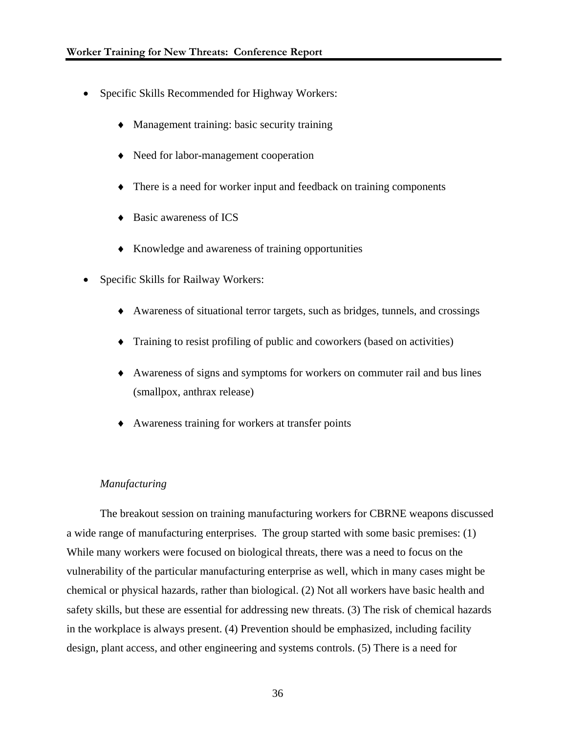- Specific Skills Recommended for Highway Workers:
	- Management training: basic security training
	- ♦ Need for labor-management cooperation
	- ♦ There is a need for worker input and feedback on training components
	- ♦ Basic awareness of ICS
	- ♦ Knowledge and awareness of training opportunities
- Specific Skills for Railway Workers:
	- ♦ Awareness of situational terror targets, such as bridges, tunnels, and crossings
	- ♦ Training to resist profiling of public and coworkers (based on activities)
	- ♦ Awareness of signs and symptoms for workers on commuter rail and bus lines (smallpox, anthrax release)
	- Awareness training for workers at transfer points

### *Manufacturing*

 The breakout session on training manufacturing workers for CBRNE weapons discussed a wide range of manufacturing enterprises. The group started with some basic premises: (1) While many workers were focused on biological threats, there was a need to focus on the vulnerability of the particular manufacturing enterprise as well, which in many cases might be chemical or physical hazards, rather than biological. (2) Not all workers have basic health and safety skills, but these are essential for addressing new threats. (3) The risk of chemical hazards in the workplace is always present. (4) Prevention should be emphasized, including facility design, plant access, and other engineering and systems controls. (5) There is a need for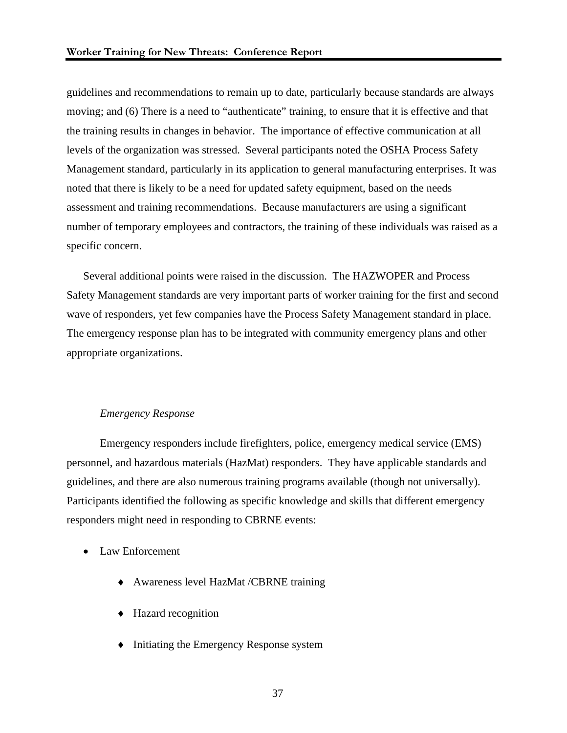guidelines and recommendations to remain up to date, particularly because standards are always moving; and (6) There is a need to "authenticate" training, to ensure that it is effective and that the training results in changes in behavior. The importance of effective communication at all levels of the organization was stressed. Several participants noted the OSHA Process Safety Management standard, particularly in its application to general manufacturing enterprises. It was noted that there is likely to be a need for updated safety equipment, based on the needs assessment and training recommendations. Because manufacturers are using a significant number of temporary employees and contractors, the training of these individuals was raised as a specific concern.

Several additional points were raised in the discussion. The HAZWOPER and Process Safety Management standards are very important parts of worker training for the first and second wave of responders, yet few companies have the Process Safety Management standard in place. The emergency response plan has to be integrated with community emergency plans and other appropriate organizations.

### *Emergency Response*

Emergency responders include firefighters, police, emergency medical service (EMS) personnel, and hazardous materials (HazMat) responders. They have applicable standards and guidelines, and there are also numerous training programs available (though not universally). Participants identified the following as specific knowledge and skills that different emergency responders might need in responding to CBRNE events:

- Law Enforcement
	- ♦ Awareness level HazMat /CBRNE training
	- ♦ Hazard recognition
	- ♦ Initiating the Emergency Response system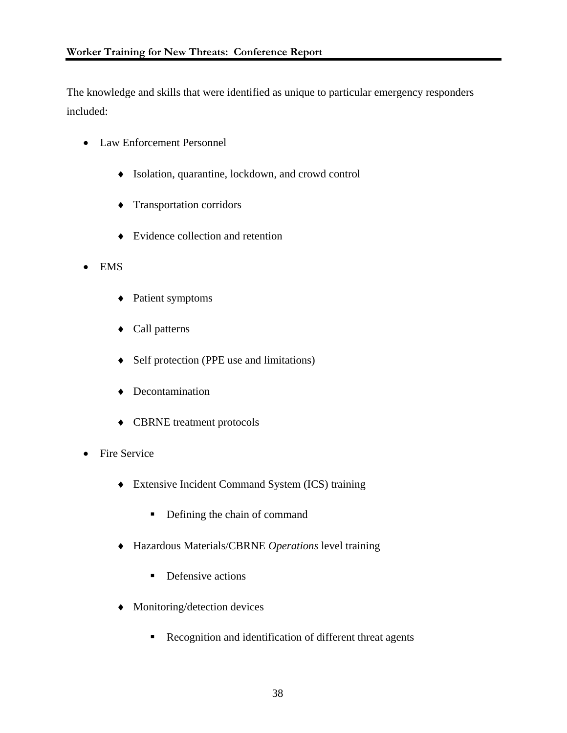The knowledge and skills that were identified as unique to particular emergency responders included:

- Law Enforcement Personnel
	- ♦ Isolation, quarantine, lockdown, and crowd control
	- ♦ Transportation corridors
	- ♦ Evidence collection and retention
- EMS
	- ♦ Patient symptoms
	- ♦ Call patterns
	- ♦ Self protection (PPE use and limitations)
	- ♦ Decontamination
	- ♦ CBRNE treatment protocols
- Fire Service
	- ♦ Extensive Incident Command System (ICS) training
		- Defining the chain of command
	- ♦ Hazardous Materials/CBRNE *Operations* level training
		- Defensive actions
	- ♦ Monitoring/detection devices
		- Recognition and identification of different threat agents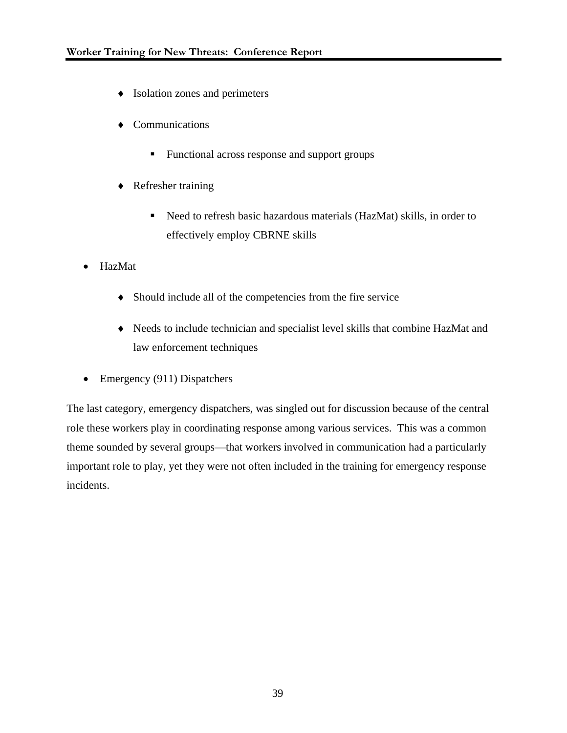- ♦ Isolation zones and perimeters
- ♦ Communications
	- **Functional across response and support groups**
- ♦ Refresher training
	- Need to refresh basic hazardous materials (HazMat) skills, in order to effectively employ CBRNE skills
- HazMat
	- ♦ Should include all of the competencies from the fire service
	- ♦ Needs to include technician and specialist level skills that combine HazMat and law enforcement techniques
- Emergency (911) Dispatchers

The last category, emergency dispatchers, was singled out for discussion because of the central role these workers play in coordinating response among various services. This was a common theme sounded by several groups—that workers involved in communication had a particularly important role to play, yet they were not often included in the training for emergency response incidents.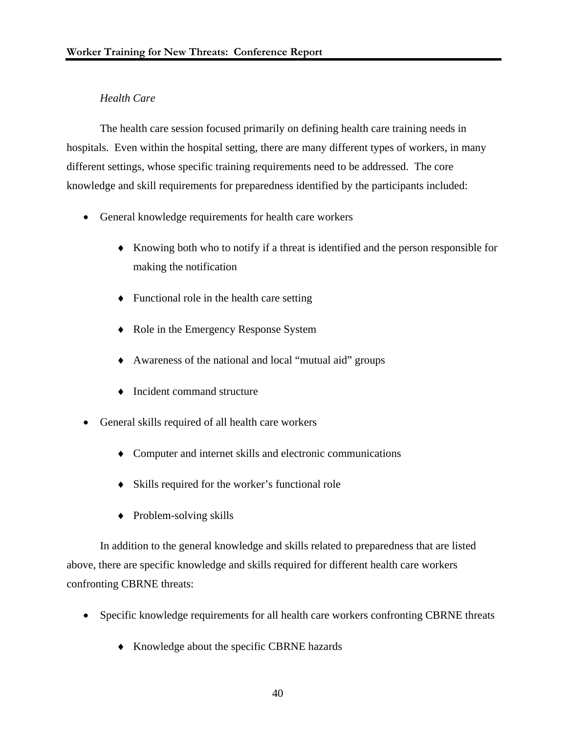### *Health Care*

 The health care session focused primarily on defining health care training needs in hospitals. Even within the hospital setting, there are many different types of workers, in many different settings, whose specific training requirements need to be addressed. The core knowledge and skill requirements for preparedness identified by the participants included:

- General knowledge requirements for health care workers
	- ♦ Knowing both who to notify if a threat is identified and the person responsible for making the notification
	- ♦ Functional role in the health care setting
	- ♦ Role in the Emergency Response System
	- ♦ Awareness of the national and local "mutual aid" groups
	- ♦ Incident command structure
- General skills required of all health care workers
	- ♦ Computer and internet skills and electronic communications
	- ♦ Skills required for the worker's functional role
	- ♦ Problem-solving skills

In addition to the general knowledge and skills related to preparedness that are listed above, there are specific knowledge and skills required for different health care workers confronting CBRNE threats:

- Specific knowledge requirements for all health care workers confronting CBRNE threats
	- ♦ Knowledge about the specific CBRNE hazards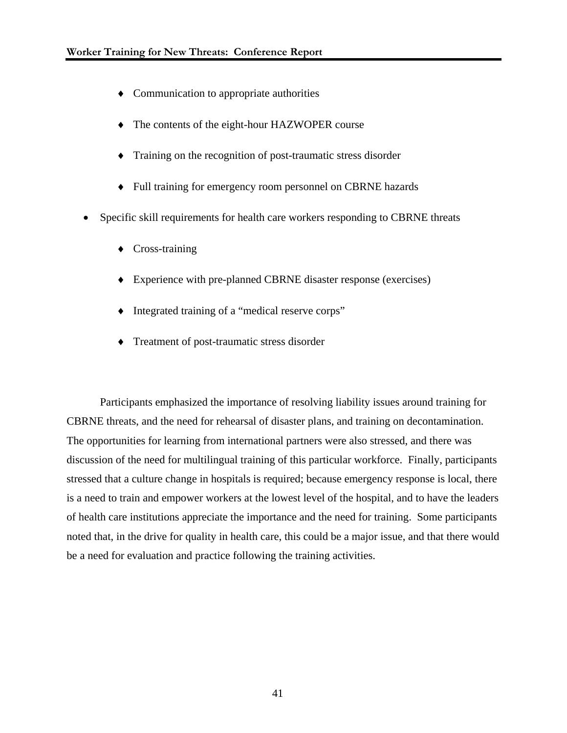- ♦ Communication to appropriate authorities
- ♦ The contents of the eight-hour HAZWOPER course
- ♦ Training on the recognition of post-traumatic stress disorder
- ♦ Full training for emergency room personnel on CBRNE hazards
- Specific skill requirements for health care workers responding to CBRNE threats
	- ♦ Cross-training
	- ♦ Experience with pre-planned CBRNE disaster response (exercises)
	- ♦ Integrated training of a "medical reserve corps"
	- ♦ Treatment of post-traumatic stress disorder

Participants emphasized the importance of resolving liability issues around training for CBRNE threats, and the need for rehearsal of disaster plans, and training on decontamination. The opportunities for learning from international partners were also stressed, and there was discussion of the need for multilingual training of this particular workforce. Finally, participants stressed that a culture change in hospitals is required; because emergency response is local, there is a need to train and empower workers at the lowest level of the hospital, and to have the leaders of health care institutions appreciate the importance and the need for training. Some participants noted that, in the drive for quality in health care, this could be a major issue, and that there would be a need for evaluation and practice following the training activities.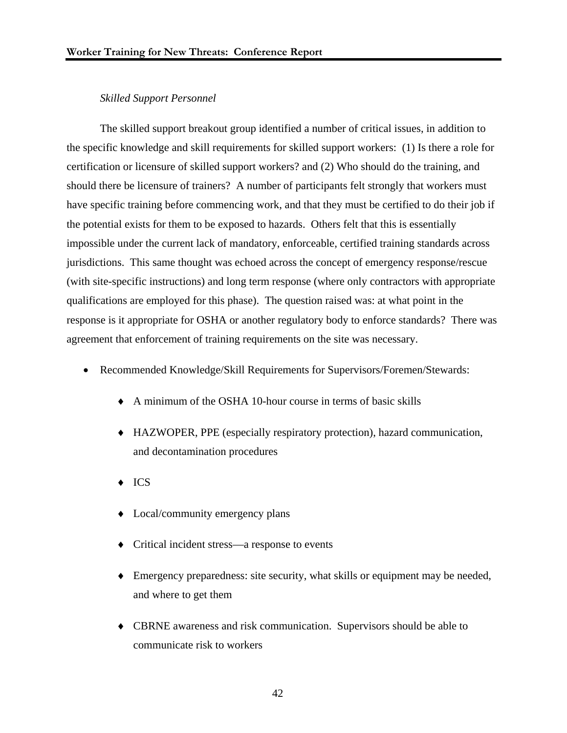### *Skilled Support Personnel*

The skilled support breakout group identified a number of critical issues, in addition to the specific knowledge and skill requirements for skilled support workers: (1) Is there a role for certification or licensure of skilled support workers? and (2) Who should do the training, and should there be licensure of trainers? A number of participants felt strongly that workers must have specific training before commencing work, and that they must be certified to do their job if the potential exists for them to be exposed to hazards. Others felt that this is essentially impossible under the current lack of mandatory, enforceable, certified training standards across jurisdictions. This same thought was echoed across the concept of emergency response/rescue (with site-specific instructions) and long term response (where only contractors with appropriate qualifications are employed for this phase). The question raised was: at what point in the response is it appropriate for OSHA or another regulatory body to enforce standards? There was agreement that enforcement of training requirements on the site was necessary.

- Recommended Knowledge/Skill Requirements for Supervisors/Foremen/Stewards:
	- ♦ A minimum of the OSHA 10-hour course in terms of basic skills
	- ♦ HAZWOPER, PPE (especially respiratory protection), hazard communication, and decontamination procedures
	- ♦ ICS
	- ♦ Local/community emergency plans
	- ♦ Critical incident stress—a response to events
	- ♦ Emergency preparedness: site security, what skills or equipment may be needed, and where to get them
	- ♦ CBRNE awareness and risk communication. Supervisors should be able to communicate risk to workers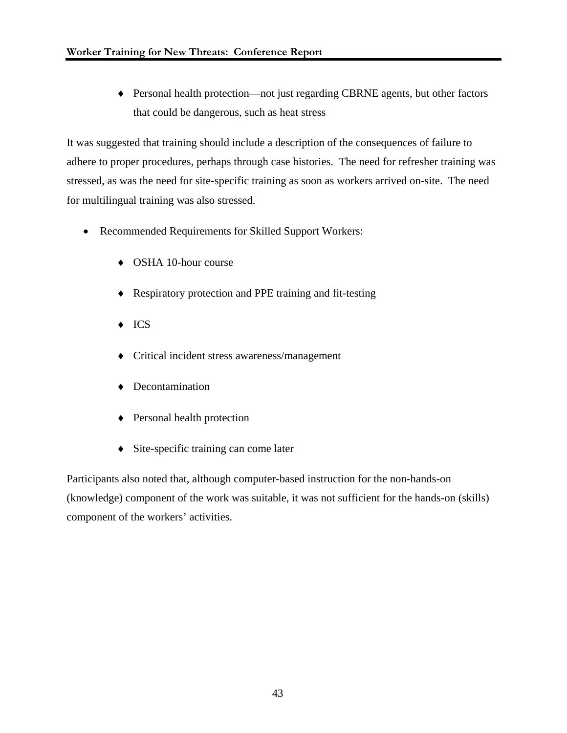♦ Personal health protection—not just regarding CBRNE agents, but other factors that could be dangerous, such as heat stress

It was suggested that training should include a description of the consequences of failure to adhere to proper procedures, perhaps through case histories. The need for refresher training was stressed, as was the need for site-specific training as soon as workers arrived on-site. The need for multilingual training was also stressed.

- Recommended Requirements for Skilled Support Workers:
	- ♦ OSHA 10-hour course
	- ♦ Respiratory protection and PPE training and fit-testing
	- ♦ ICS
	- ♦ Critical incident stress awareness/management
	- ♦ Decontamination
	- ♦ Personal health protection
	- ♦ Site-specific training can come later

Participants also noted that, although computer-based instruction for the non-hands-on (knowledge) component of the work was suitable, it was not sufficient for the hands-on (skills) component of the workers' activities.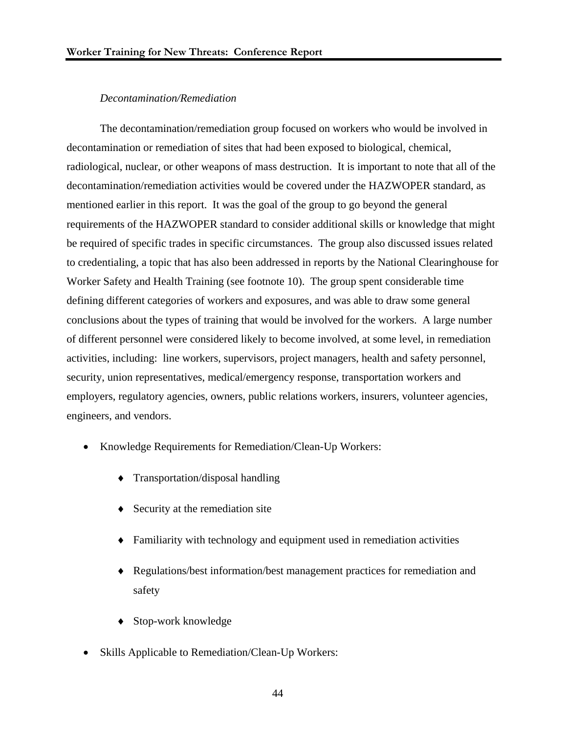### *Decontamination/Remediation*

 The decontamination/remediation group focused on workers who would be involved in decontamination or remediation of sites that had been exposed to biological, chemical, radiological, nuclear, or other weapons of mass destruction. It is important to note that all of the decontamination/remediation activities would be covered under the HAZWOPER standard, as mentioned earlier in this report. It was the goal of the group to go beyond the general requirements of the HAZWOPER standard to consider additional skills or knowledge that might be required of specific trades in specific circumstances. The group also discussed issues related to credentialing, a topic that has also been addressed in reports by the National Clearinghouse for Worker Safety and Health Training (see footnote 10). The group spent considerable time defining different categories of workers and exposures, and was able to draw some general conclusions about the types of training that would be involved for the workers. A large number of different personnel were considered likely to become involved, at some level, in remediation activities, including: line workers, supervisors, project managers, health and safety personnel, security, union representatives, medical/emergency response, transportation workers and employers, regulatory agencies, owners, public relations workers, insurers, volunteer agencies, engineers, and vendors.

- Knowledge Requirements for Remediation/Clean-Up Workers:
	- ♦ Transportation/disposal handling
	- ♦ Security at the remediation site
	- ♦ Familiarity with technology and equipment used in remediation activities
	- ♦ Regulations/best information/best management practices for remediation and safety
	- Stop-work knowledge
- Skills Applicable to Remediation/Clean-Up Workers: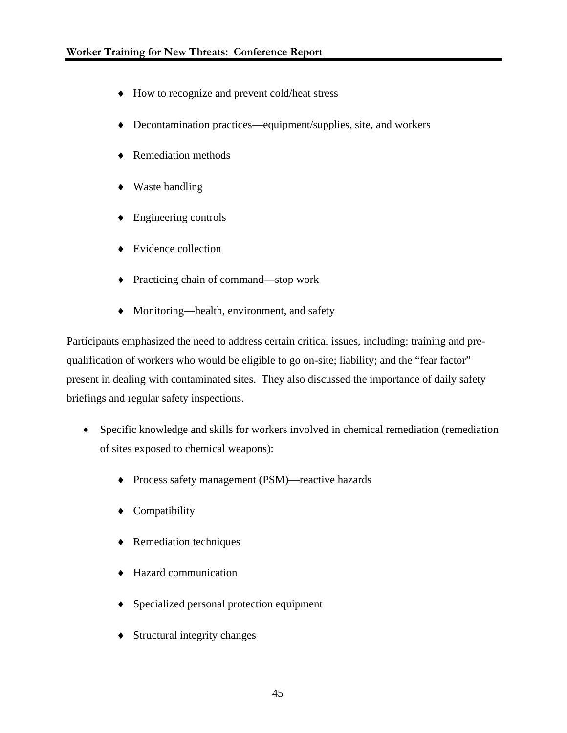- ♦ How to recognize and prevent cold/heat stress
- ♦ Decontamination practices—equipment/supplies, site, and workers
- ♦ Remediation methods
- ♦ Waste handling
- ♦ Engineering controls
- ♦ Evidence collection
- ♦ Practicing chain of command—stop work
- ♦ Monitoring—health, environment, and safety

Participants emphasized the need to address certain critical issues, including: training and prequalification of workers who would be eligible to go on-site; liability; and the "fear factor" present in dealing with contaminated sites. They also discussed the importance of daily safety briefings and regular safety inspections.

- Specific knowledge and skills for workers involved in chemical remediation (remediation of sites exposed to chemical weapons):
	- ♦ Process safety management (PSM)—reactive hazards
	- ♦ Compatibility
	- ♦ Remediation techniques
	- ♦ Hazard communication
	- ♦ Specialized personal protection equipment
	- ♦ Structural integrity changes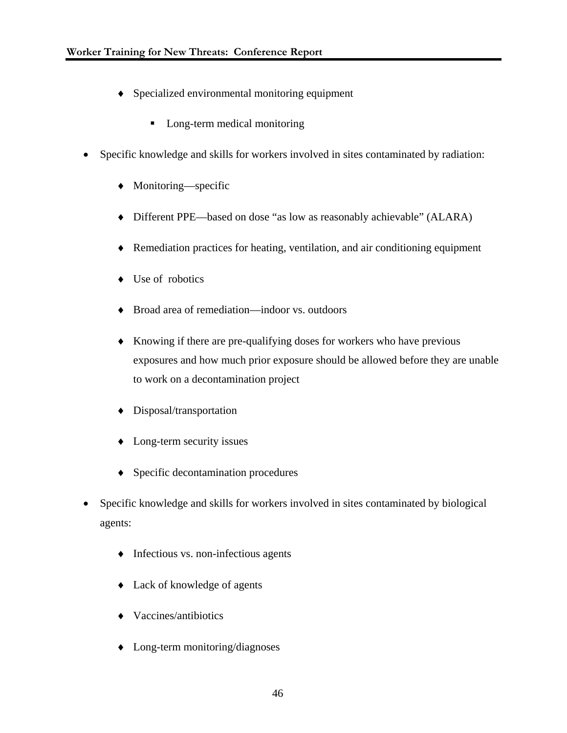- ♦ Specialized environmental monitoring equipment
	- Long-term medical monitoring
- Specific knowledge and skills for workers involved in sites contaminated by radiation:
	- ♦ Monitoring—specific
	- ♦ Different PPE—based on dose "as low as reasonably achievable" (ALARA)
	- ♦ Remediation practices for heating, ventilation, and air conditioning equipment
	- ♦ Use of robotics
	- ♦ Broad area of remediation—indoor vs. outdoors
	- ♦ Knowing if there are pre-qualifying doses for workers who have previous exposures and how much prior exposure should be allowed before they are unable to work on a decontamination project
	- ♦ Disposal/transportation
	- ♦ Long-term security issues
	- ♦ Specific decontamination procedures
- Specific knowledge and skills for workers involved in sites contaminated by biological agents:
	- ♦ Infectious vs. non-infectious agents
	- ♦ Lack of knowledge of agents
	- ♦ Vaccines/antibiotics
	- ♦ Long-term monitoring/diagnoses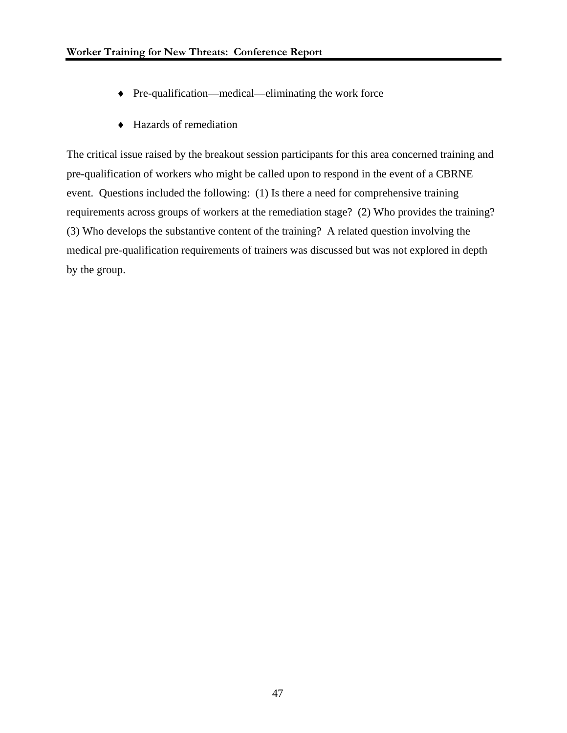- ♦ Pre-qualification—medical—eliminating the work force
- ♦ Hazards of remediation

The critical issue raised by the breakout session participants for this area concerned training and pre-qualification of workers who might be called upon to respond in the event of a CBRNE event. Questions included the following: (1) Is there a need for comprehensive training requirements across groups of workers at the remediation stage? (2) Who provides the training? (3) Who develops the substantive content of the training? A related question involving the medical pre-qualification requirements of trainers was discussed but was not explored in depth by the group.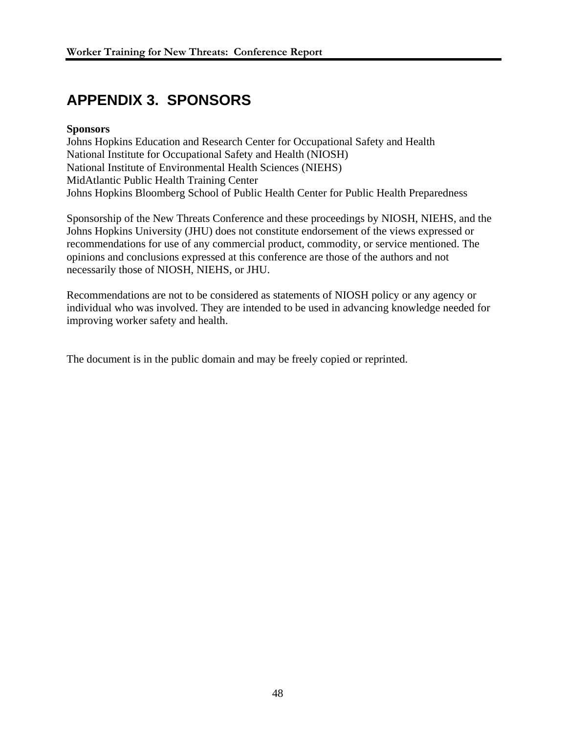## **APPENDIX 3. SPONSORS**

### **Sponsors**

Johns Hopkins Education and Research Center for Occupational Safety and Health National Institute for Occupational Safety and Health (NIOSH) National Institute of Environmental Health Sciences (NIEHS) MidAtlantic Public Health Training Center Johns Hopkins Bloomberg School of Public Health Center for Public Health Preparedness

Sponsorship of the New Threats Conference and these proceedings by NIOSH, NIEHS, and the Johns Hopkins University (JHU) does not constitute endorsement of the views expressed or recommendations for use of any commercial product, commodity, or service mentioned. The opinions and conclusions expressed at this conference are those of the authors and not necessarily those of NIOSH, NIEHS, or JHU.

Recommendations are not to be considered as statements of NIOSH policy or any agency or individual who was involved. They are intended to be used in advancing knowledge needed for improving worker safety and health.

The document is in the public domain and may be freely copied or reprinted.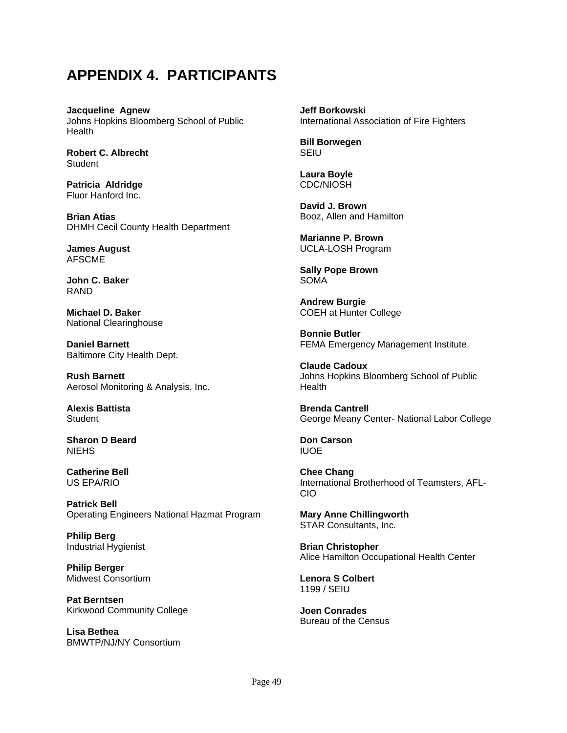## **APPENDIX 4. PARTICIPANTS**

**Jacqueline Agnew** Johns Hopkins Bloomberg School of Public **Health** 

**Robert C. Albrecht Student** 

**Patricia Aldridge**  Fluor Hanford Inc.

**Brian Atias**  DHMH Cecil County Health Department

**James August**  AFSCME

**John C. Baker** RAND

**Michael D. Baker**  National Clearinghouse

**Daniel Barnett** Baltimore City Health Dept.

**Rush Barnett** Aerosol Monitoring & Analysis, Inc.

**Alexis Battista Student** 

**Sharon D Beard NIEHS** 

**Catherine Bell**  US EPA/RIO

**Patrick Bell**  Operating Engineers National Hazmat Program

**Philip Berg** Industrial Hygienist

**Philip Berger** Midwest Consortium

**Pat Berntsen** Kirkwood Community College

**Lisa Bethea** BMWTP/NJ/NY Consortium **Jeff Borkowski** International Association of Fire Fighters

**Bill Borwegen SEIU** 

**Laura Boyle** CDC/NIOSH

**David J. Brown** Booz, Allen and Hamilton

**Marianne P. Brown** UCLA-LOSH Program

**Sally Pope Brown** SOMA

**Andrew Burgie** COEH at Hunter College

**Bonnie Butler** FEMA Emergency Management Institute

**Claude Cadoux** Johns Hopkins Bloomberg School of Public **Health** 

**Brenda Cantrell** George Meany Center- National Labor College

**Don Carson** IUOE

**Chee Chang** International Brotherhood of Teamsters, AFL-CIO

**Mary Anne Chillingworth** STAR Consultants, Inc.

**Brian Christopher** Alice Hamilton Occupational Health Center

**Lenora S Colbert** 1199 / SEIU

**Joen Conrades** Bureau of the Census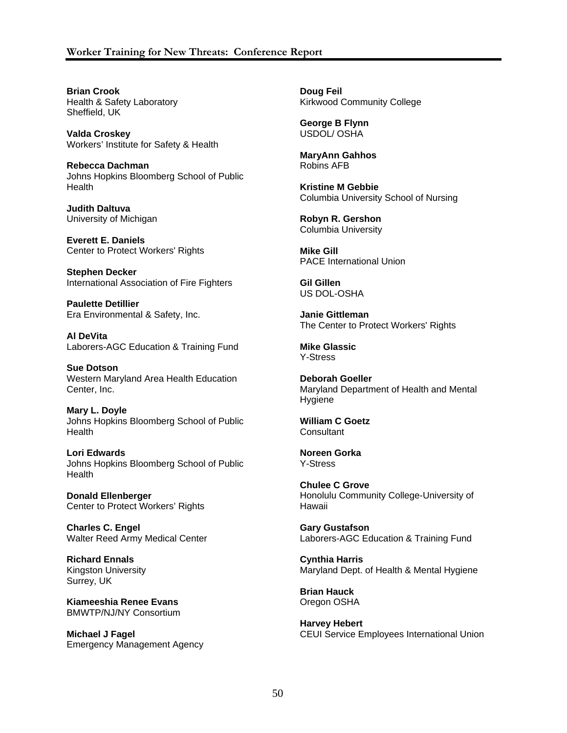### **Worker Training for New Threats: Conference Report**

**Brian Crook** Health & Safety Laboratory Sheffield, UK

**Valda Croskey** Workers' Institute for Safety & Health

**Rebecca Dachman** Johns Hopkins Bloomberg School of Public **Health** 

**Judith Daltuva** University of Michigan

**Everett E. Daniels** Center to Protect Workers' Rights

**Stephen Decker** International Association of Fire Fighters

**Paulette Detillier** Era Environmental & Safety, Inc.

**Al DeVita** Laborers-AGC Education & Training Fund

**Sue Dotson** Western Maryland Area Health Education Center, Inc.

**Mary L. Doyle** Johns Hopkins Bloomberg School of Public Health

**Lori Edwards** Johns Hopkins Bloomberg School of Public Health

**Donald Ellenberger** Center to Protect Workers' Rights

**Charles C. Engel** Walter Reed Army Medical Center

**Richard Ennals** Kingston University Surrey, UK

**Kiameeshia Renee Evans** BMWTP/NJ/NY Consortium

**Michael J Fagel** Emergency Management Agency **Doug Feil** Kirkwood Community College

**George B Flynn** USDOL/ OSHA

**MaryAnn Gahhos** Robins AFB

**Kristine M Gebbie** Columbia University School of Nursing

**Robyn R. Gershon** Columbia University

**Mike Gill** PACE International Union

**Gil Gillen** US DOL-OSHA

**Janie Gittleman** The Center to Protect Workers' Rights

**Mike Glassic** Y-Stress

**Deborah Goeller** Maryland Department of Health and Mental Hygiene

**William C Goetz Consultant** 

**Noreen Gorka** Y-Stress

**Chulee C Grove** Honolulu Community College-University of Hawaii

**Gary Gustafson** Laborers-AGC Education & Training Fund

**Cynthia Harris** Maryland Dept. of Health & Mental Hygiene

**Brian Hauck** Oregon OSHA

**Harvey Hebert** CEUI Service Employees International Union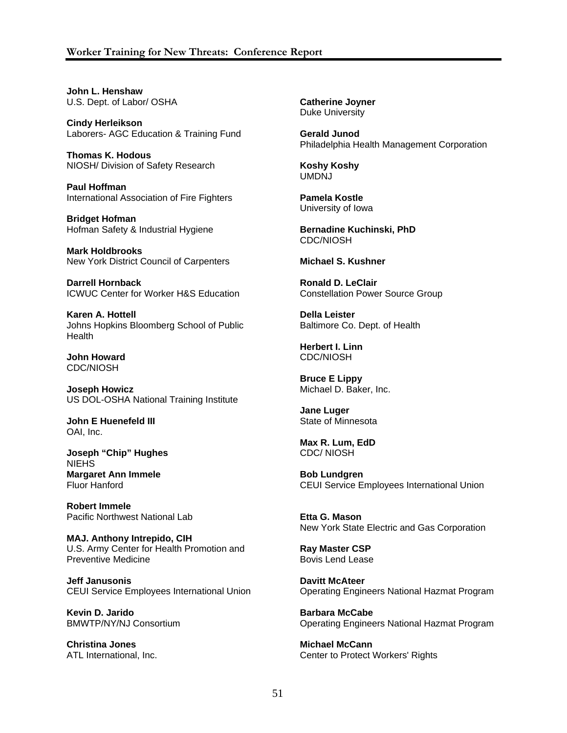### **Worker Training for New Threats: Conference Report**

**John L. Henshaw** U.S. Dept. of Labor/ OSHA

**Cindy Herleikson** Laborers- AGC Education & Training Fund

**Thomas K. Hodous** NIOSH/ Division of Safety Research

**Paul Hoffman** International Association of Fire Fighters

**Bridget Hofman** Hofman Safety & Industrial Hygiene

**Mark Holdbrooks** New York District Council of Carpenters

**Darrell Hornback** ICWUC Center for Worker H&S Education

**Karen A. Hottell** Johns Hopkins Bloomberg School of Public **Health** 

**John Howard** CDC/NIOSH

**Joseph Howicz** US DOL-OSHA National Training Institute

**John E Huenefeld III** OAI, Inc.

**Joseph "Chip" Hughes** NIEHS **Margaret Ann Immele** Fluor Hanford

**Robert Immele** Pacific Northwest National Lab

**MAJ. Anthony Intrepido, CIH** U.S. Army Center for Health Promotion and Preventive Medicine

**Jeff Janusonis** CEUI Service Employees International Union

**Kevin D. Jarido** BMWTP/NY/NJ Consortium

**Christina Jones** ATL International, Inc. **Catherine Joyner** Duke University

**Gerald Junod** Philadelphia Health Management Corporation

**Koshy Koshy** UMDNJ

**Pamela Kostle** University of Iowa

**Bernadine Kuchinski, PhD** CDC/NIOSH

**Michael S. Kushner** 

**Ronald D. LeClair** Constellation Power Source Group

**Della Leister**  Baltimore Co. Dept. of Health

**Herbert I. Linn** CDC/NIOSH

**Bruce E Lippy** Michael D. Baker, Inc.

**Jane Luger** State of Minnesota

**Max R. Lum, EdD** CDC/ NIOSH

**Bob Lundgren** CEUI Service Employees International Union

**Etta G. Mason** New York State Electric and Gas Corporation

**Ray Master CSP** Bovis Lend Lease

**Davitt McAteer**  Operating Engineers National Hazmat Program

**Barbara McCabe**  Operating Engineers National Hazmat Program

**Michael McCann** Center to Protect Workers' Rights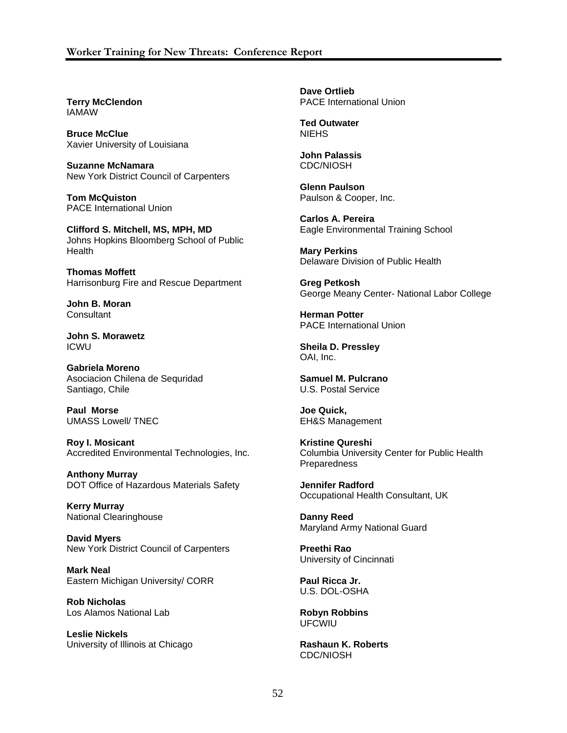**Terry McClendon** IAMAW

**Bruce McClue** Xavier University of Louisiana

**Suzanne McNamara** New York District Council of Carpenters

**Tom McQuiston** PACE International Union

**Clifford S. Mitchell, MS, MPH, MD** Johns Hopkins Bloomberg School of Public **Health** 

**Thomas Moffett** Harrisonburg Fire and Rescue Department

**John B. Moran Consultant** 

**John S. Morawetz** ICWU

**Gabriela Moreno** Asociacion Chilena de Sequridad Santiago, Chile

**Paul Morse** UMASS Lowell/ TNEC

**Roy I. Mosicant** Accredited Environmental Technologies, Inc.

**Anthony Murray** DOT Office of Hazardous Materials Safety

**Kerry Murray** National Clearinghouse

**David Myers** New York District Council of Carpenters

**Mark Neal** Eastern Michigan University/ CORR

**Rob Nicholas** Los Alamos National Lab

**Leslie Nickels** University of Illinois at Chicago **Dave Ortlieb** PACE International Union

**Ted Outwater NIEHS** 

**John Palassis** CDC/NIOSH

**Glenn Paulson** Paulson & Cooper, Inc.

**Carlos A. Pereira** Eagle Environmental Training School

**Mary Perkins** Delaware Division of Public Health

**Greg Petkosh** George Meany Center- National Labor College

**Herman Potter** PACE International Union

**Sheila D. Pressley** OAI, Inc.

**Samuel M. Pulcrano** U.S. Postal Service

**Joe Quick,**  EH&S Management

**Kristine Qureshi** Columbia University Center for Public Health Preparedness

**Jennifer Radford** Occupational Health Consultant, UK

**Danny Reed** Maryland Army National Guard

**Preethi Rao** University of Cincinnati

**Paul Ricca Jr.** U.S. DOL-OSHA

**Robyn Robbins** UFCWIU

**Rashaun K. Roberts** CDC/NIOSH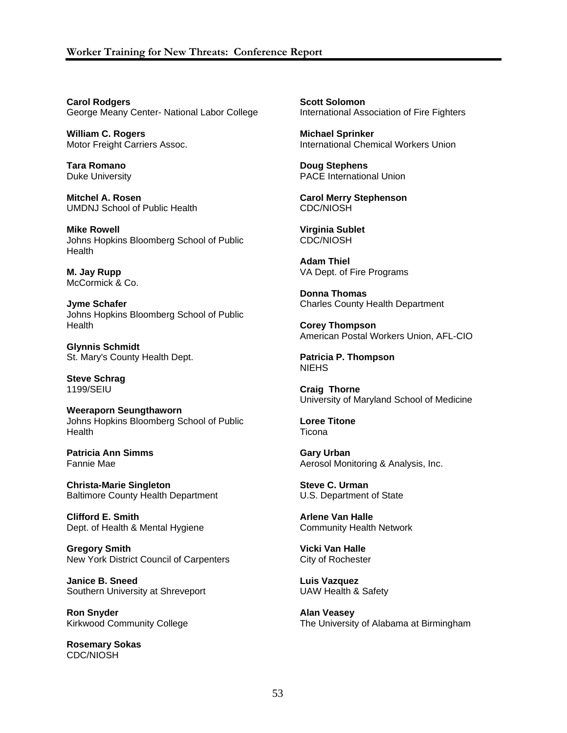**Carol Rodgers** George Meany Center- National Labor College

**William C. Rogers**  Motor Freight Carriers Assoc.

**Tara Romano** Duke University

**Mitchel A. Rosen** UMDNJ School of Public Health

**Mike Rowell** Johns Hopkins Bloomberg School of Public **Health** 

**M. Jay Rupp** McCormick & Co.

**Jyme Schafer** Johns Hopkins Bloomberg School of Public **Health** 

**Glynnis Schmidt** St. Mary's County Health Dept.

**Steve Schrag** 1199/SEIU

**Weeraporn Seungthaworn** Johns Hopkins Bloomberg School of Public **Health** 

**Patricia Ann Simms** Fannie Mae

**Christa-Marie Singleton** Baltimore County Health Department

**Clifford E. Smith** Dept. of Health & Mental Hygiene

**Gregory Smith** New York District Council of Carpenters

**Janice B. Sneed** Southern University at Shreveport

**Ron Snyder** Kirkwood Community College

**Rosemary Sokas** CDC/NIOSH

**Scott Solomon** International Association of Fire Fighters

**Michael Sprinker** International Chemical Workers Union

**Doug Stephens** PACE International Union

**Carol Merry Stephenson** CDC/NIOSH

**Virginia Sublet** CDC/NIOSH

**Adam Thiel** VA Dept. of Fire Programs

**Donna Thomas** Charles County Health Department

**Corey Thompson** American Postal Workers Union, AFL-CIO

**Patricia P. Thompson** NIEHS

**Craig Thorne** University of Maryland School of Medicine

**Loree Titone Ticona** 

**Gary Urban** Aerosol Monitoring & Analysis, Inc.

**Steve C. Urman** U.S. Department of State

**Arlene Van Halle** Community Health Network

**Vicki Van Halle** City of Rochester

**Luis Vazquez** UAW Health & Safety

**Alan Veasey** The University of Alabama at Birmingham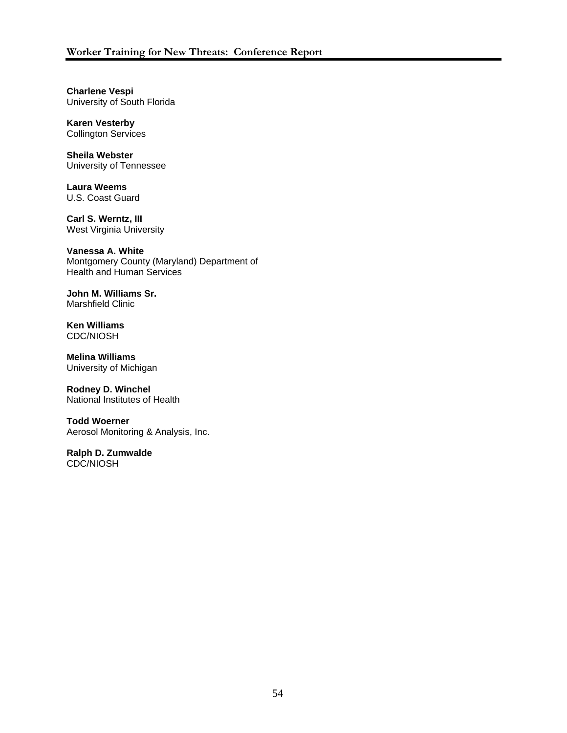**Charlene Vespi** University of South Florida

**Karen Vesterby**  Collington Services

**Sheila Webster** University of Tennessee

**Laura Weems** U.S. Coast Guard

**Carl S. Werntz, III** West Virginia University

**Vanessa A. White** Montgomery County (Maryland) Department of Health and Human Services

**John M. Williams Sr.** Marshfield Clinic

**Ken Williams** CDC/NIOSH

**Melina Williams** University of Michigan

**Rodney D. Winchel** National Institutes of Health

**Todd Woerner** Aerosol Monitoring & Analysis, Inc.

**Ralph D. Zumwalde** CDC/NIOSH